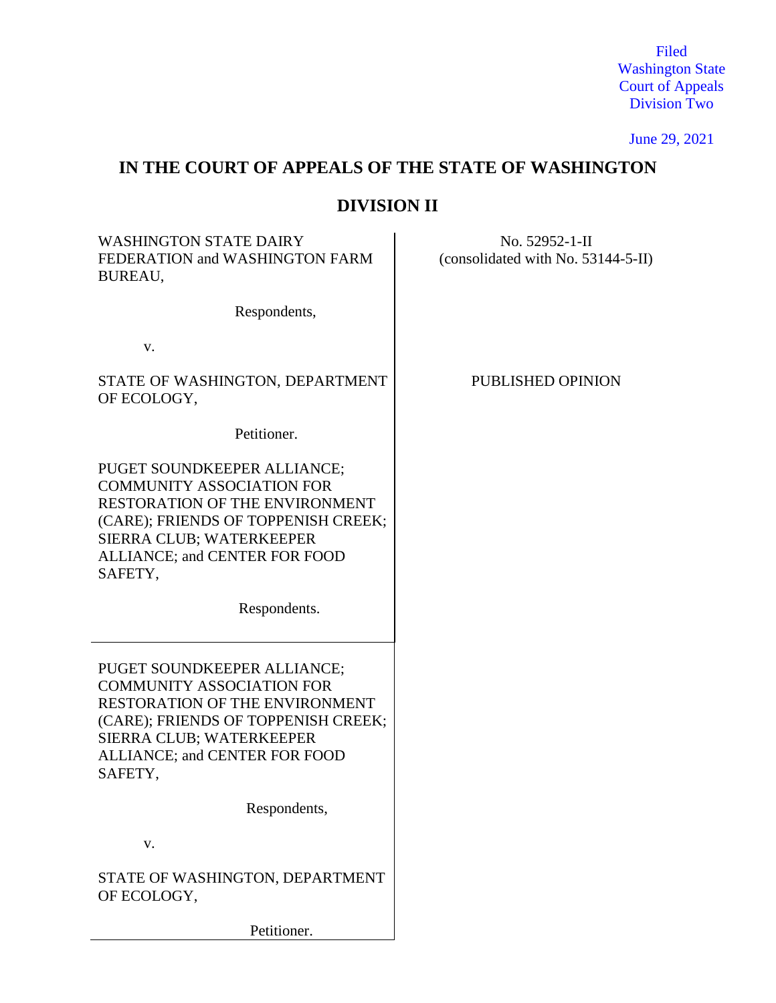Filed Washington State Court of Appeals Division Two

June 29, 2021

# **IN THE COURT OF APPEALS OF THE STATE OF WASHINGTON**

# **DIVISION II**

WASHINGTON STATE DAIRY FEDERATION and WASHINGTON FARM BUREAU,

Respondents,

v.

STATE OF WASHINGTON, DEPARTMENT OF ECOLOGY,

Petitioner.

PUGET SOUNDKEEPER ALLIANCE; COMMUNITY ASSOCIATION FOR RESTORATION OF THE ENVIRONMENT (CARE); FRIENDS OF TOPPENISH CREEK; SIERRA CLUB; WATERKEEPER ALLIANCE; and CENTER FOR FOOD SAFETY,

Respondents.

PUGET SOUNDKEEPER ALLIANCE; COMMUNITY ASSOCIATION FOR RESTORATION OF THE ENVIRONMENT (CARE); FRIENDS OF TOPPENISH CREEK; SIERRA CLUB; WATERKEEPER ALLIANCE; and CENTER FOR FOOD SAFETY,

Respondents,

v.

STATE OF WASHINGTON, DEPARTMENT OF ECOLOGY,

Petitioner.

(consolidated with No. 53144-5-II)

No. 52952-1-II

PUBLISHED OPINION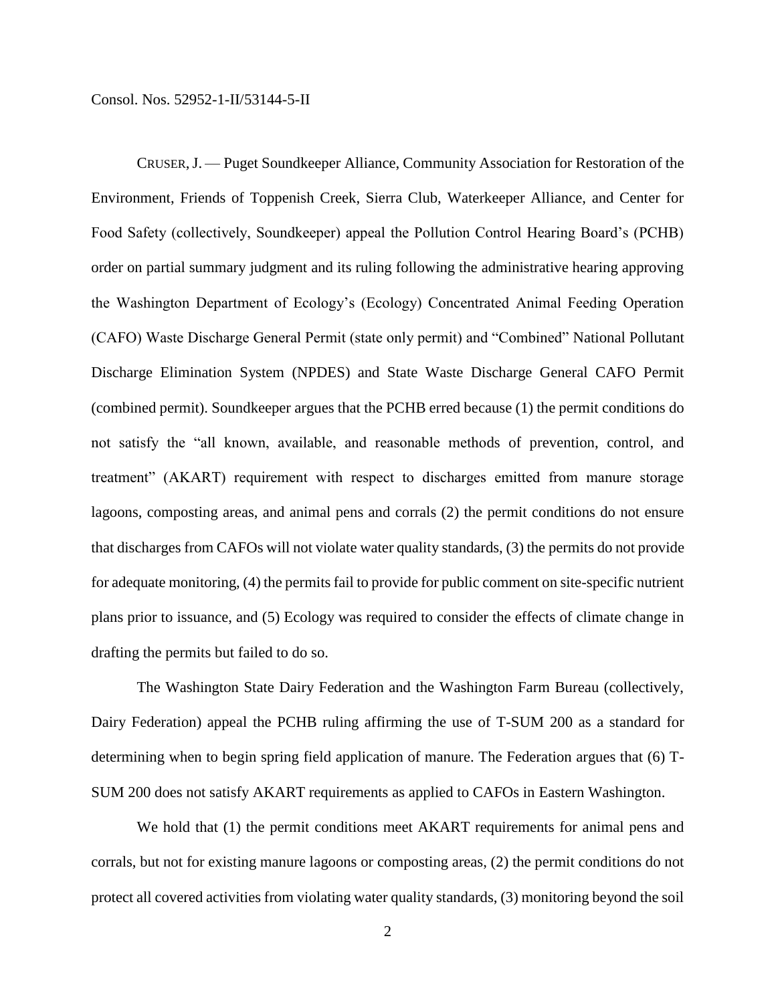CRUSER,J. — Puget Soundkeeper Alliance, Community Association for Restoration of the Environment, Friends of Toppenish Creek, Sierra Club, Waterkeeper Alliance, and Center for Food Safety (collectively, Soundkeeper) appeal the Pollution Control Hearing Board's (PCHB) order on partial summary judgment and its ruling following the administrative hearing approving the Washington Department of Ecology's (Ecology) Concentrated Animal Feeding Operation (CAFO) Waste Discharge General Permit (state only permit) and "Combined" National Pollutant Discharge Elimination System (NPDES) and State Waste Discharge General CAFO Permit (combined permit). Soundkeeper argues that the PCHB erred because (1) the permit conditions do not satisfy the "all known, available, and reasonable methods of prevention, control, and treatment" (AKART) requirement with respect to discharges emitted from manure storage lagoons, composting areas, and animal pens and corrals (2) the permit conditions do not ensure that discharges from CAFOs will not violate water quality standards, (3) the permits do not provide for adequate monitoring, (4) the permits fail to provide for public comment on site-specific nutrient plans prior to issuance, and (5) Ecology was required to consider the effects of climate change in drafting the permits but failed to do so.

The Washington State Dairy Federation and the Washington Farm Bureau (collectively, Dairy Federation) appeal the PCHB ruling affirming the use of T-SUM 200 as a standard for determining when to begin spring field application of manure. The Federation argues that (6) T-SUM 200 does not satisfy AKART requirements as applied to CAFOs in Eastern Washington.

We hold that (1) the permit conditions meet AKART requirements for animal pens and corrals, but not for existing manure lagoons or composting areas, (2) the permit conditions do not protect all covered activities from violating water quality standards, (3) monitoring beyond the soil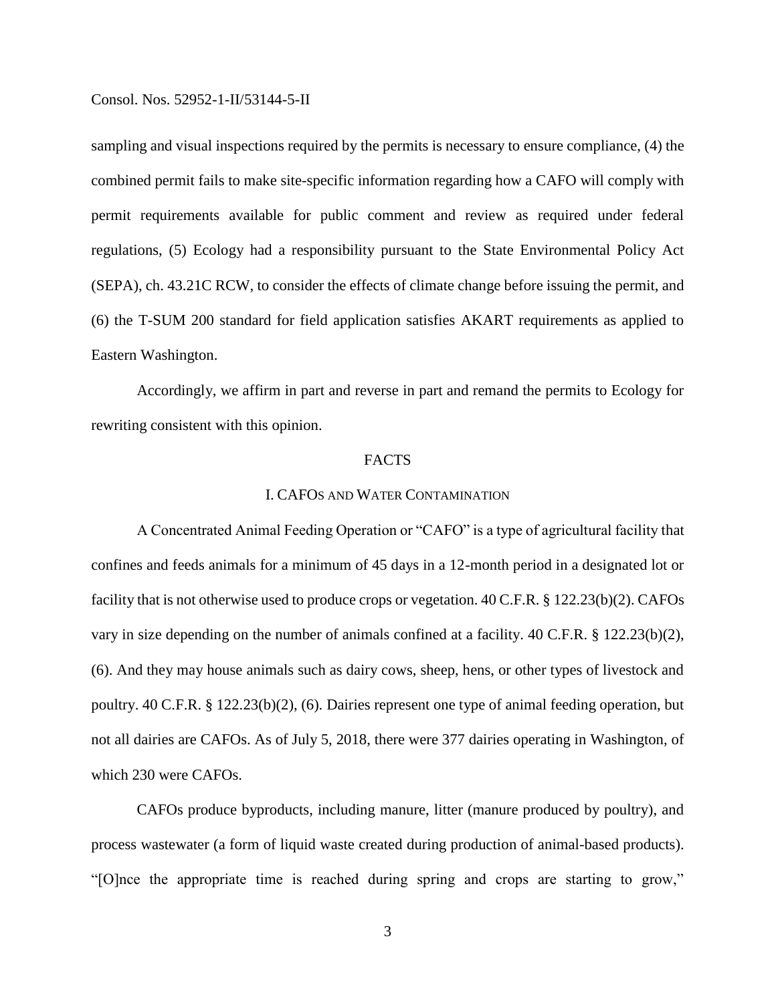sampling and visual inspections required by the permits is necessary to ensure compliance, (4) the combined permit fails to make site-specific information regarding how a CAFO will comply with permit requirements available for public comment and review as required under federal regulations, (5) Ecology had a responsibility pursuant to the State Environmental Policy Act (SEPA), ch. 43.21C RCW, to consider the effects of climate change before issuing the permit, and (6) the T-SUM 200 standard for field application satisfies AKART requirements as applied to Eastern Washington.

Accordingly, we affirm in part and reverse in part and remand the permits to Ecology for rewriting consistent with this opinion.

## FACTS

## I. CAFOS AND WATER CONTAMINATION

A Concentrated Animal Feeding Operation or "CAFO" is a type of agricultural facility that confines and feeds animals for a minimum of 45 days in a 12-month period in a designated lot or facility that is not otherwise used to produce crops or vegetation. 40 C.F.R. § 122.23(b)(2). CAFOs vary in size depending on the number of animals confined at a facility. 40 C.F.R. § 122.23(b)(2), (6). And they may house animals such as dairy cows, sheep, hens, or other types of livestock and poultry. 40 C.F.R. § 122.23(b)(2), (6). Dairies represent one type of animal feeding operation, but not all dairies are CAFOs. As of July 5, 2018, there were 377 dairies operating in Washington, of which 230 were CAFOs.

CAFOs produce byproducts, including manure, litter (manure produced by poultry), and process wastewater (a form of liquid waste created during production of animal-based products). "[O]nce the appropriate time is reached during spring and crops are starting to grow,"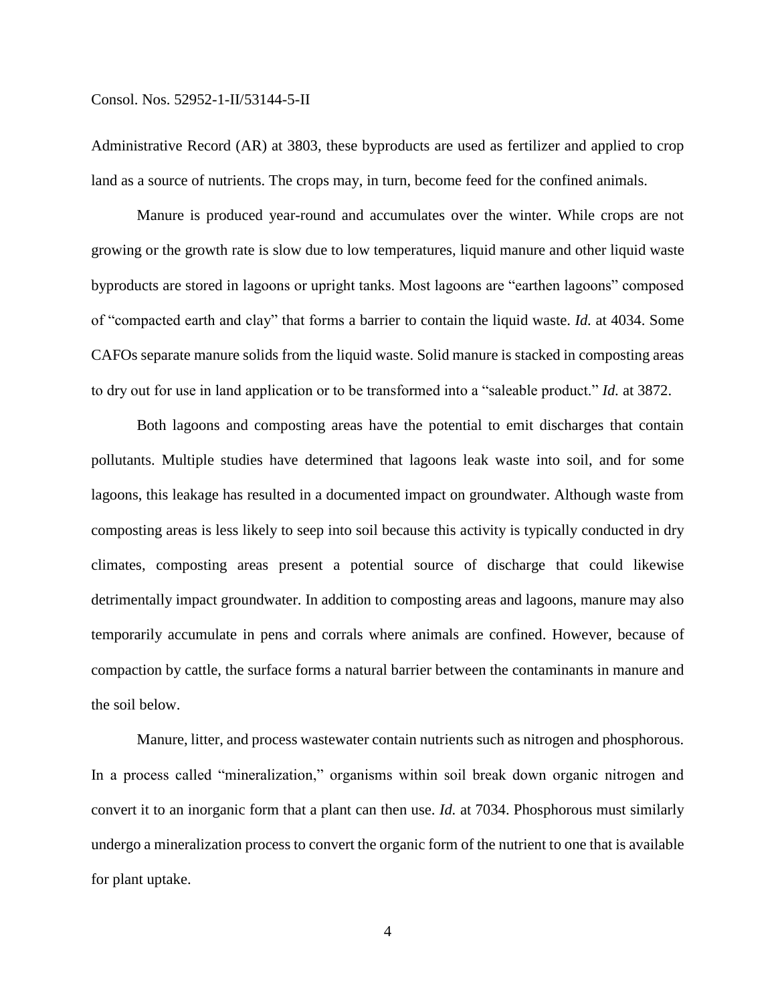Administrative Record (AR) at 3803, these byproducts are used as fertilizer and applied to crop land as a source of nutrients. The crops may, in turn, become feed for the confined animals.

Manure is produced year-round and accumulates over the winter. While crops are not growing or the growth rate is slow due to low temperatures, liquid manure and other liquid waste byproducts are stored in lagoons or upright tanks. Most lagoons are "earthen lagoons" composed of "compacted earth and clay" that forms a barrier to contain the liquid waste. *Id.* at 4034. Some CAFOs separate manure solids from the liquid waste. Solid manure is stacked in composting areas to dry out for use in land application or to be transformed into a "saleable product." *Id.* at 3872.

Both lagoons and composting areas have the potential to emit discharges that contain pollutants. Multiple studies have determined that lagoons leak waste into soil, and for some lagoons, this leakage has resulted in a documented impact on groundwater. Although waste from composting areas is less likely to seep into soil because this activity is typically conducted in dry climates, composting areas present a potential source of discharge that could likewise detrimentally impact groundwater. In addition to composting areas and lagoons, manure may also temporarily accumulate in pens and corrals where animals are confined. However, because of compaction by cattle, the surface forms a natural barrier between the contaminants in manure and the soil below.

Manure, litter, and process wastewater contain nutrients such as nitrogen and phosphorous. In a process called "mineralization," organisms within soil break down organic nitrogen and convert it to an inorganic form that a plant can then use. *Id.* at 7034. Phosphorous must similarly undergo a mineralization process to convert the organic form of the nutrient to one that is available for plant uptake.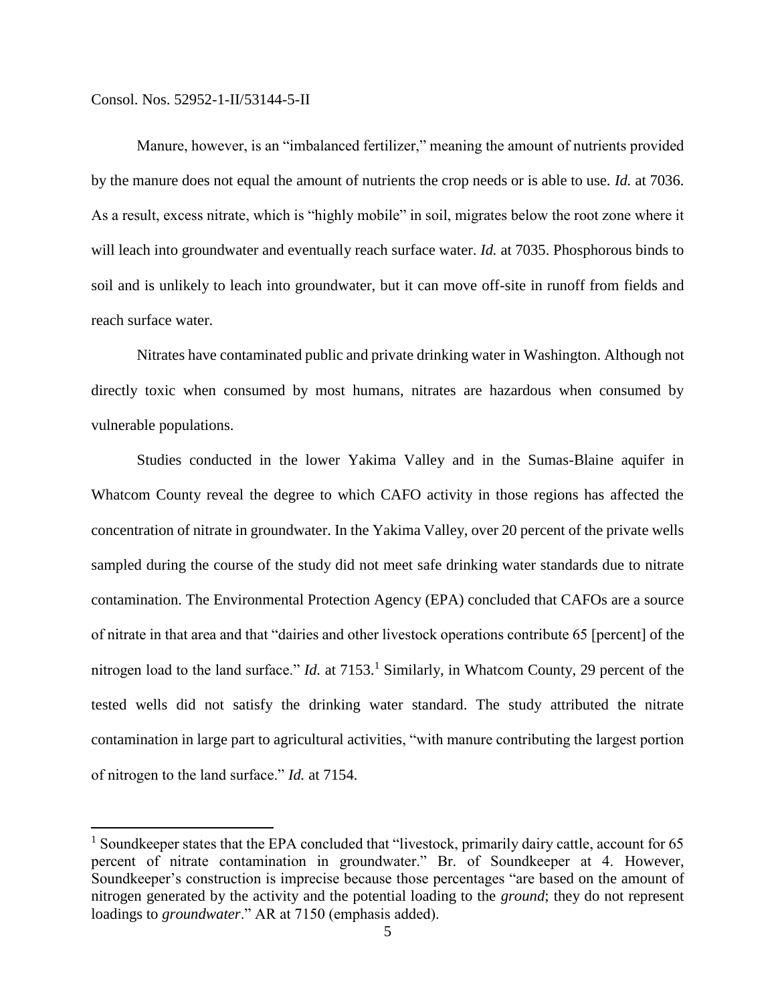$\overline{a}$ 

Manure, however, is an "imbalanced fertilizer," meaning the amount of nutrients provided by the manure does not equal the amount of nutrients the crop needs or is able to use. *Id.* at 7036. As a result, excess nitrate, which is "highly mobile" in soil, migrates below the root zone where it will leach into groundwater and eventually reach surface water. *Id.* at 7035. Phosphorous binds to soil and is unlikely to leach into groundwater, but it can move off-site in runoff from fields and reach surface water.

Nitrates have contaminated public and private drinking water in Washington. Although not directly toxic when consumed by most humans, nitrates are hazardous when consumed by vulnerable populations.

Studies conducted in the lower Yakima Valley and in the Sumas-Blaine aquifer in Whatcom County reveal the degree to which CAFO activity in those regions has affected the concentration of nitrate in groundwater. In the Yakima Valley, over 20 percent of the private wells sampled during the course of the study did not meet safe drinking water standards due to nitrate contamination. The Environmental Protection Agency (EPA) concluded that CAFOs are a source of nitrate in that area and that "dairies and other livestock operations contribute 65 [percent] of the nitrogen load to the land surface." *Id.* at 7153.<sup>1</sup> Similarly, in Whatcom County, 29 percent of the tested wells did not satisfy the drinking water standard. The study attributed the nitrate contamination in large part to agricultural activities, "with manure contributing the largest portion of nitrogen to the land surface." *Id.* at 7154.

<sup>&</sup>lt;sup>1</sup> Soundkeeper states that the EPA concluded that "livestock, primarily dairy cattle, account for 65 percent of nitrate contamination in groundwater." Br. of Soundkeeper at 4. However, Soundkeeper's construction is imprecise because those percentages "are based on the amount of nitrogen generated by the activity and the potential loading to the *ground*; they do not represent loadings to *groundwater*." AR at 7150 (emphasis added).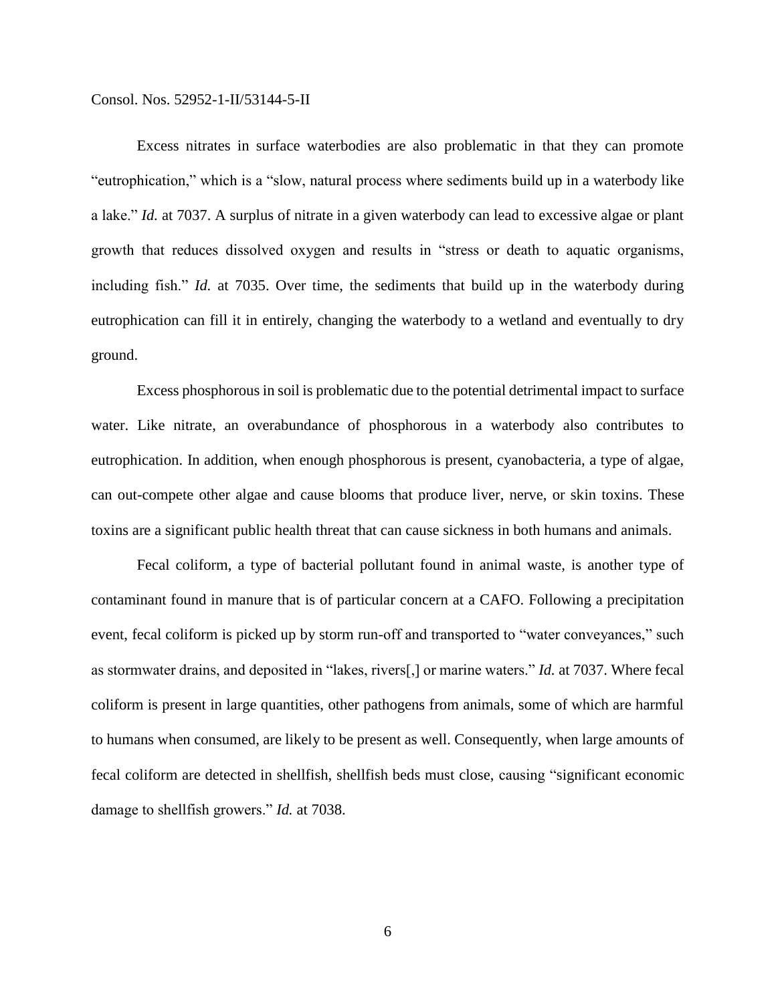Excess nitrates in surface waterbodies are also problematic in that they can promote "eutrophication," which is a "slow, natural process where sediments build up in a waterbody like a lake." *Id.* at 7037. A surplus of nitrate in a given waterbody can lead to excessive algae or plant growth that reduces dissolved oxygen and results in "stress or death to aquatic organisms, including fish." *Id.* at 7035. Over time, the sediments that build up in the waterbody during eutrophication can fill it in entirely, changing the waterbody to a wetland and eventually to dry ground.

Excess phosphorous in soil is problematic due to the potential detrimental impact to surface water. Like nitrate, an overabundance of phosphorous in a waterbody also contributes to eutrophication. In addition, when enough phosphorous is present, cyanobacteria, a type of algae, can out-compete other algae and cause blooms that produce liver, nerve, or skin toxins. These toxins are a significant public health threat that can cause sickness in both humans and animals.

Fecal coliform, a type of bacterial pollutant found in animal waste, is another type of contaminant found in manure that is of particular concern at a CAFO. Following a precipitation event, fecal coliform is picked up by storm run-off and transported to "water conveyances," such as stormwater drains, and deposited in "lakes, rivers[,] or marine waters." *Id.* at 7037. Where fecal coliform is present in large quantities, other pathogens from animals, some of which are harmful to humans when consumed, are likely to be present as well. Consequently, when large amounts of fecal coliform are detected in shellfish, shellfish beds must close, causing "significant economic damage to shellfish growers." *Id.* at 7038.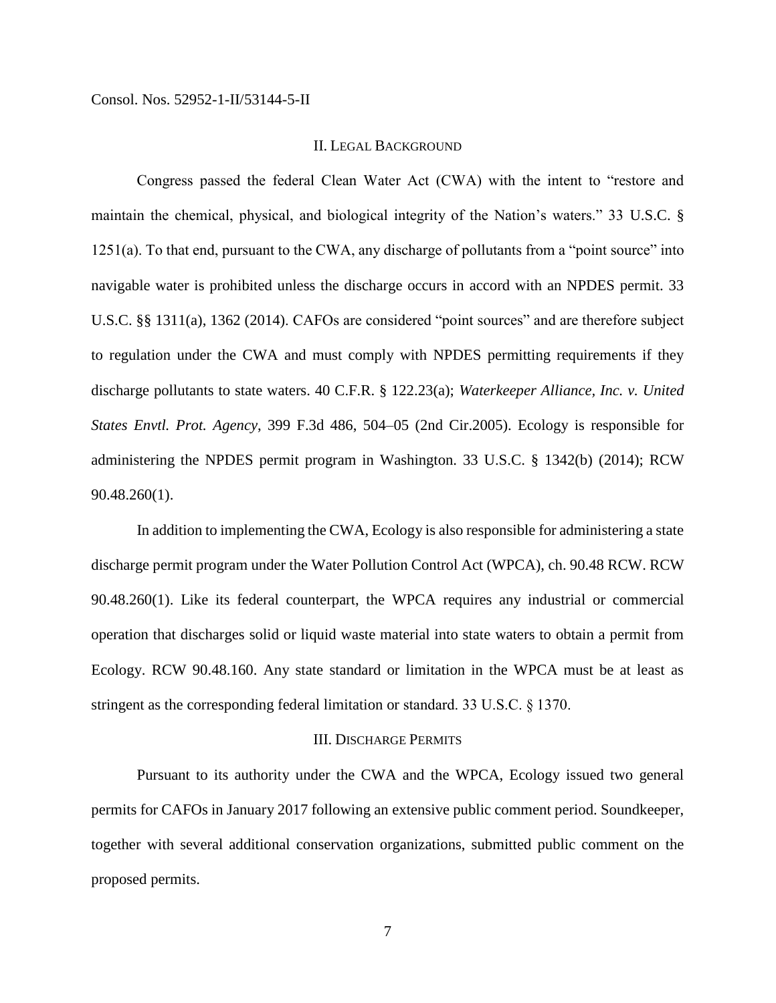### II. LEGAL BACKGROUND

Congress passed the federal Clean Water Act (CWA) with the intent to "restore and maintain the chemical, physical, and biological integrity of the Nation's waters." 33 U.S.C. § 1251(a). To that end, pursuant to the CWA, any discharge of pollutants from a "point source" into navigable water is prohibited unless the discharge occurs in accord with an NPDES permit. 33 U.S.C. §§ 1311(a), 1362 (2014). CAFOs are considered "point sources" and are therefore subject to regulation under the CWA and must comply with NPDES permitting requirements if they discharge pollutants to state waters. 40 C.F.R. § 122.23(a); *Waterkeeper Alliance, Inc. v. United States Envtl. Prot. Agency*, 399 F.3d 486, 504–05 (2nd Cir.2005). Ecology is responsible for administering the NPDES permit program in Washington. 33 U.S.C. § 1342(b) (2014); RCW 90.48.260(1).

In addition to implementing the CWA, Ecology is also responsible for administering a state discharge permit program under the Water Pollution Control Act (WPCA), ch. 90.48 RCW. RCW 90.48.260(1). Like its federal counterpart, the WPCA requires any industrial or commercial operation that discharges solid or liquid waste material into state waters to obtain a permit from Ecology. RCW 90.48.160. Any state standard or limitation in the WPCA must be at least as stringent as the corresponding federal limitation or standard. 33 U.S.C. § 1370.

#### III. DISCHARGE PERMITS

Pursuant to its authority under the CWA and the WPCA, Ecology issued two general permits for CAFOs in January 2017 following an extensive public comment period. Soundkeeper, together with several additional conservation organizations, submitted public comment on the proposed permits.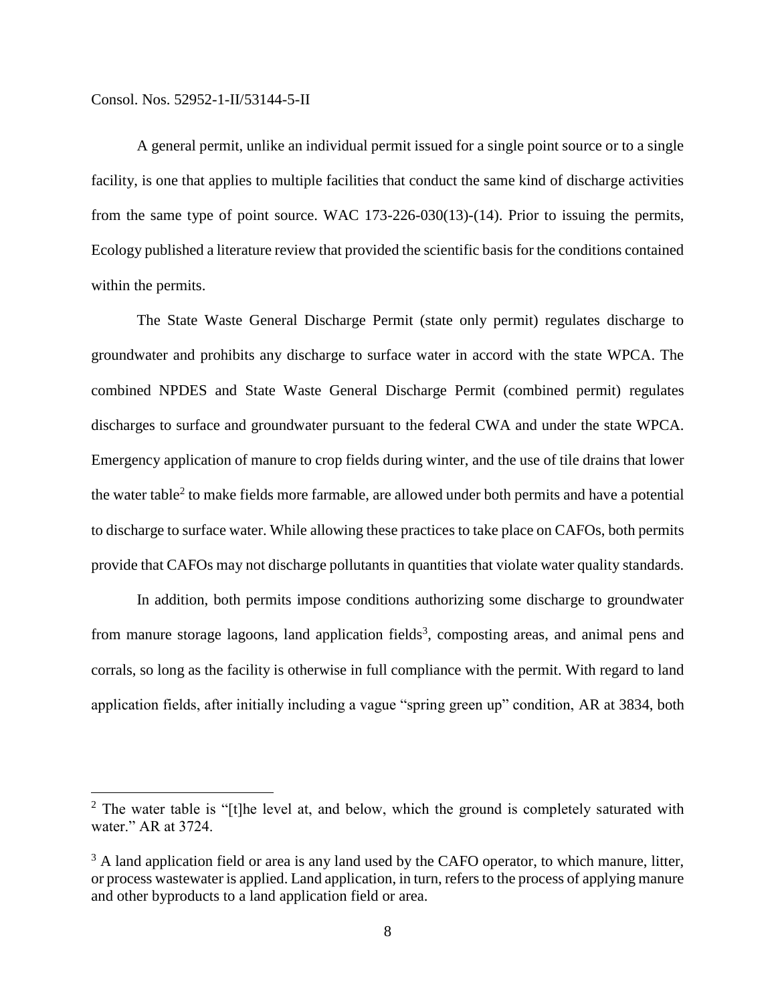$\overline{a}$ 

A general permit, unlike an individual permit issued for a single point source or to a single facility, is one that applies to multiple facilities that conduct the same kind of discharge activities from the same type of point source. WAC 173-226-030(13)-(14). Prior to issuing the permits, Ecology published a literature review that provided the scientific basis for the conditions contained within the permits.

The State Waste General Discharge Permit (state only permit) regulates discharge to groundwater and prohibits any discharge to surface water in accord with the state WPCA. The combined NPDES and State Waste General Discharge Permit (combined permit) regulates discharges to surface and groundwater pursuant to the federal CWA and under the state WPCA. Emergency application of manure to crop fields during winter, and the use of tile drains that lower the water table<sup>2</sup> to make fields more farmable, are allowed under both permits and have a potential to discharge to surface water. While allowing these practices to take place on CAFOs, both permits provide that CAFOs may not discharge pollutants in quantities that violate water quality standards.

In addition, both permits impose conditions authorizing some discharge to groundwater from manure storage lagoons, land application fields<sup>3</sup>, composting areas, and animal pens and corrals, so long as the facility is otherwise in full compliance with the permit. With regard to land application fields, after initially including a vague "spring green up" condition, AR at 3834, both

 $2$  The water table is "[t]he level at, and below, which the ground is completely saturated with water." AR at 3724.

 $3$  A land application field or area is any land used by the CAFO operator, to which manure, litter, or process wastewater is applied. Land application, in turn, refers to the process of applying manure and other byproducts to a land application field or area.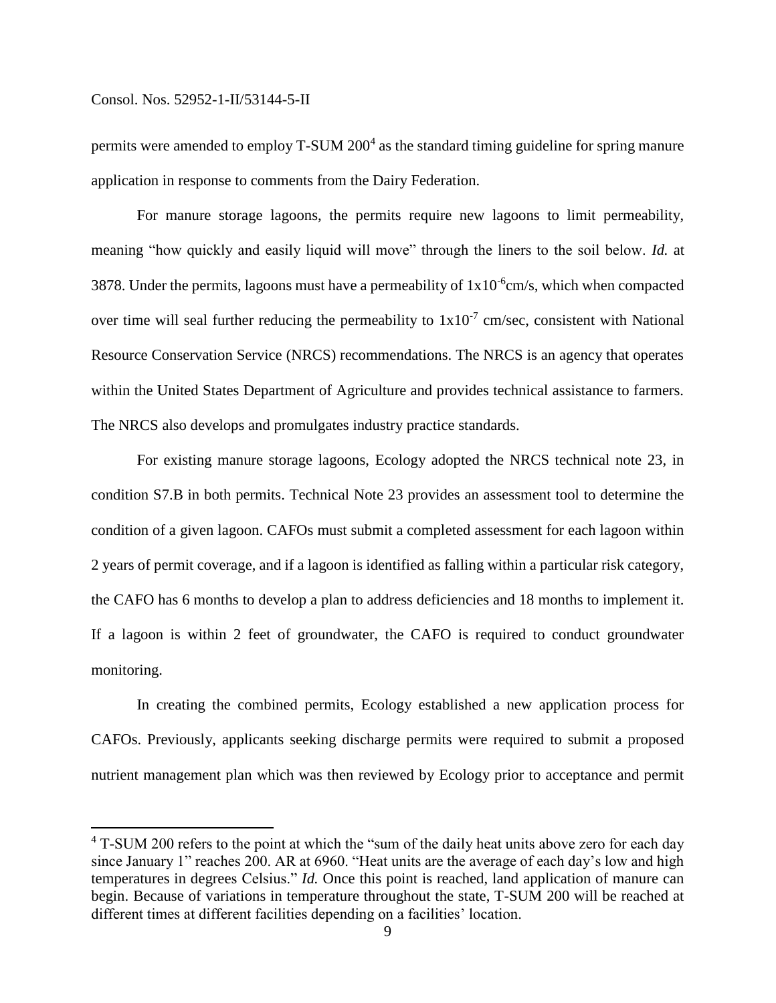$\overline{a}$ 

permits were amended to employ T-SUM 200<sup>4</sup> as the standard timing guideline for spring manure application in response to comments from the Dairy Federation.

For manure storage lagoons, the permits require new lagoons to limit permeability, meaning "how quickly and easily liquid will move" through the liners to the soil below. *Id.* at 3878. Under the permits, lagoons must have a permeability of  $1x10^{-6}$ cm/s, which when compacted over time will seal further reducing the permeability to  $1x10^{-7}$  cm/sec, consistent with National Resource Conservation Service (NRCS) recommendations. The NRCS is an agency that operates within the United States Department of Agriculture and provides technical assistance to farmers. The NRCS also develops and promulgates industry practice standards.

For existing manure storage lagoons, Ecology adopted the NRCS technical note 23, in condition S7.B in both permits. Technical Note 23 provides an assessment tool to determine the condition of a given lagoon. CAFOs must submit a completed assessment for each lagoon within 2 years of permit coverage, and if a lagoon is identified as falling within a particular risk category, the CAFO has 6 months to develop a plan to address deficiencies and 18 months to implement it. If a lagoon is within 2 feet of groundwater, the CAFO is required to conduct groundwater monitoring.

In creating the combined permits, Ecology established a new application process for CAFOs. Previously, applicants seeking discharge permits were required to submit a proposed nutrient management plan which was then reviewed by Ecology prior to acceptance and permit

 $4$  T-SUM 200 refers to the point at which the "sum of the daily heat units above zero for each day since January 1" reaches 200. AR at 6960. "Heat units are the average of each day's low and high temperatures in degrees Celsius." *Id.* Once this point is reached, land application of manure can begin. Because of variations in temperature throughout the state, T-SUM 200 will be reached at different times at different facilities depending on a facilities' location.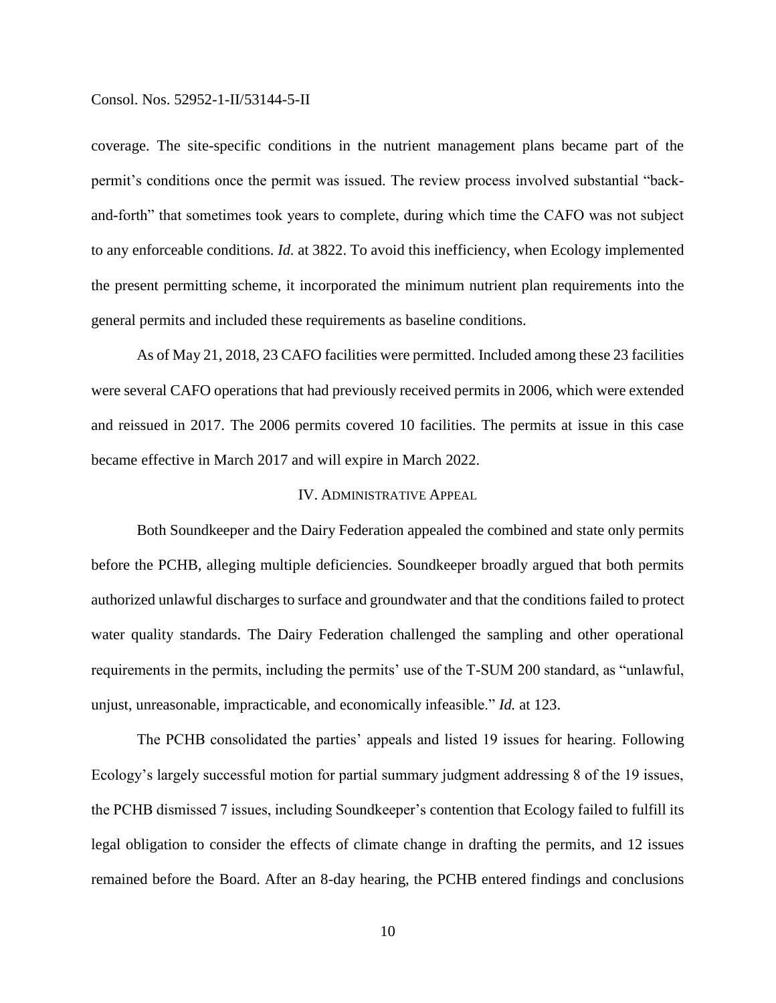coverage. The site-specific conditions in the nutrient management plans became part of the permit's conditions once the permit was issued. The review process involved substantial "backand-forth" that sometimes took years to complete, during which time the CAFO was not subject to any enforceable conditions. *Id.* at 3822. To avoid this inefficiency, when Ecology implemented the present permitting scheme, it incorporated the minimum nutrient plan requirements into the general permits and included these requirements as baseline conditions.

As of May 21, 2018, 23 CAFO facilities were permitted. Included among these 23 facilities were several CAFO operations that had previously received permits in 2006, which were extended and reissued in 2017. The 2006 permits covered 10 facilities. The permits at issue in this case became effective in March 2017 and will expire in March 2022.

## IV. ADMINISTRATIVE APPEAL

Both Soundkeeper and the Dairy Federation appealed the combined and state only permits before the PCHB, alleging multiple deficiencies. Soundkeeper broadly argued that both permits authorized unlawful discharges to surface and groundwater and that the conditions failed to protect water quality standards. The Dairy Federation challenged the sampling and other operational requirements in the permits, including the permits' use of the T-SUM 200 standard, as "unlawful, unjust, unreasonable, impracticable, and economically infeasible." *Id.* at 123.

The PCHB consolidated the parties' appeals and listed 19 issues for hearing. Following Ecology's largely successful motion for partial summary judgment addressing 8 of the 19 issues, the PCHB dismissed 7 issues, including Soundkeeper's contention that Ecology failed to fulfill its legal obligation to consider the effects of climate change in drafting the permits, and 12 issues remained before the Board. After an 8-day hearing, the PCHB entered findings and conclusions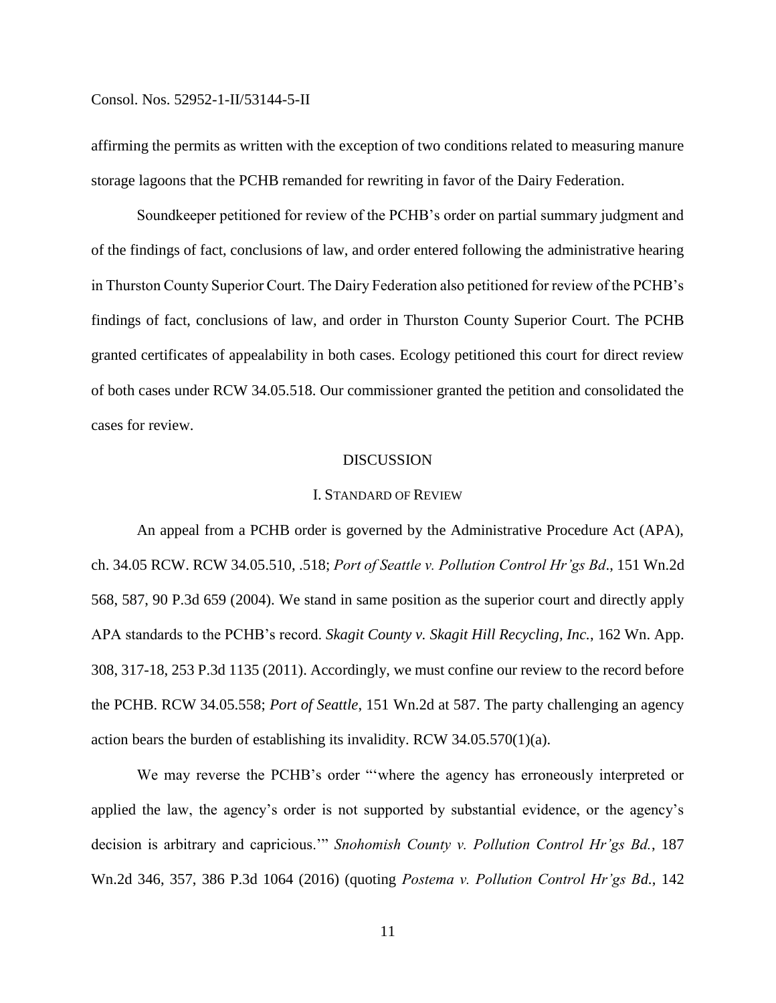affirming the permits as written with the exception of two conditions related to measuring manure storage lagoons that the PCHB remanded for rewriting in favor of the Dairy Federation.

Soundkeeper petitioned for review of the PCHB's order on partial summary judgment and of the findings of fact, conclusions of law, and order entered following the administrative hearing in Thurston County Superior Court. The Dairy Federation also petitioned for review of the PCHB's findings of fact, conclusions of law, and order in Thurston County Superior Court. The PCHB granted certificates of appealability in both cases. Ecology petitioned this court for direct review of both cases under RCW 34.05.518. Our commissioner granted the petition and consolidated the cases for review.

#### DISCUSSION

### I. STANDARD OF REVIEW

An appeal from a PCHB order is governed by the Administrative Procedure Act (APA), ch. 34.05 RCW. RCW 34.05.510, .518; *Port of Seattle v. Pollution Control Hr'gs Bd*., 151 Wn.2d 568, 587, 90 P.3d 659 (2004). We stand in same position as the superior court and directly apply APA standards to the PCHB's record. *Skagit County v. Skagit Hill Recycling, Inc.*, 162 Wn. App. 308, 317-18, 253 P.3d 1135 (2011). Accordingly, we must confine our review to the record before the PCHB. RCW 34.05.558; *Port of Seattle*, 151 Wn.2d at 587. The party challenging an agency action bears the burden of establishing its invalidity. RCW 34.05.570(1)(a).

We may reverse the PCHB's order "'where the agency has erroneously interpreted or applied the law, the agency's order is not supported by substantial evidence, or the agency's decision is arbitrary and capricious.'" *Snohomish County v. Pollution Control Hr'gs Bd.*, 187 Wn.2d 346, 357, 386 P.3d 1064 (2016) (quoting *Postema v. Pollution Control Hr'gs Bd.*, 142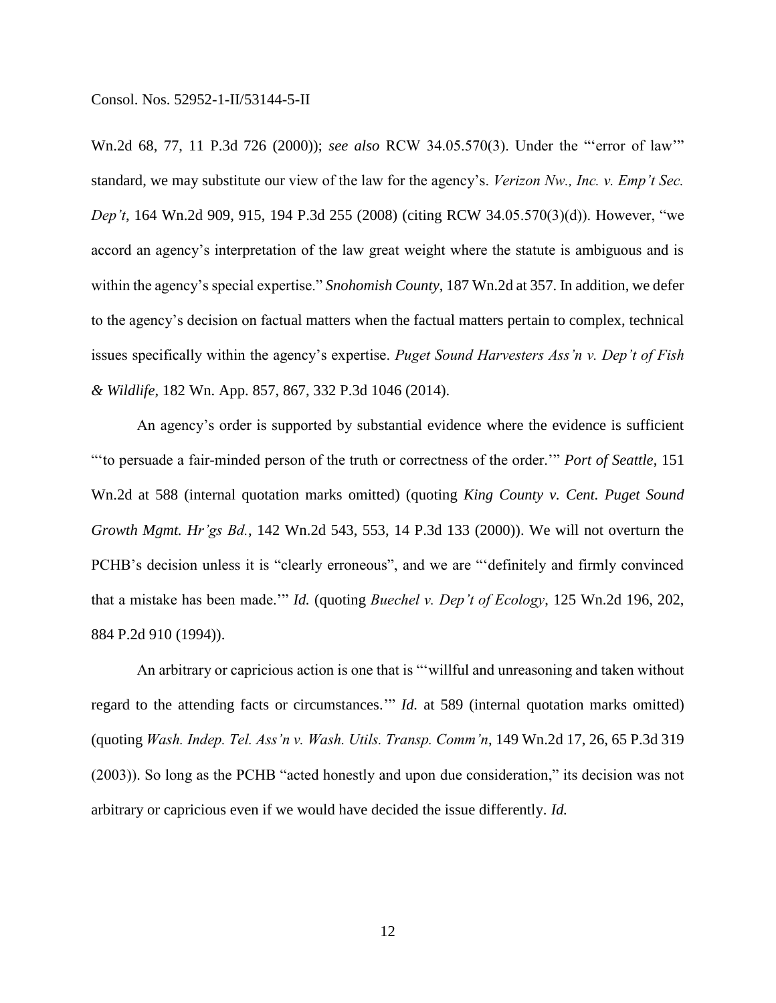Wn.2d 68, 77, 11 P.3d 726 (2000)); *see also* RCW 34.05.570(3). Under the "'error of law'" standard, we may substitute our view of the law for the agency's. *Verizon Nw., Inc. v. Emp't Sec. Dep't*, 164 Wn.2d 909, 915, 194 P.3d 255 (2008) (citing RCW 34.05.570(3)(d)). However, "we accord an agency's interpretation of the law great weight where the statute is ambiguous and is within the agency's special expertise." *Snohomish County*, 187 Wn.2d at 357. In addition, we defer to the agency's decision on factual matters when the factual matters pertain to complex, technical issues specifically within the agency's expertise. *Puget Sound Harvesters Ass'n v. Dep't of Fish & Wildlife*, 182 Wn. App. 857, 867, 332 P.3d 1046 (2014).

An agency's order is supported by substantial evidence where the evidence is sufficient "'to persuade a fair-minded person of the truth or correctness of the order.'" *Port of Seattle*, 151 Wn.2d at 588 (internal quotation marks omitted) (quoting *King County v. Cent. Puget Sound Growth Mgmt. Hr'gs Bd.*, 142 Wn.2d 543, 553, 14 P.3d 133 (2000)). We will not overturn the PCHB's decision unless it is "clearly erroneous", and we are "'definitely and firmly convinced that a mistake has been made.'" *Id.* (quoting *Buechel v. Dep't of Ecology*, 125 Wn.2d 196, 202, 884 P.2d 910 (1994)).

An arbitrary or capricious action is one that is "'willful and unreasoning and taken without regard to the attending facts or circumstances.'" *Id.* at 589 (internal quotation marks omitted) (quoting *Wash. Indep. Tel. Ass'n v. Wash. Utils. Transp. Comm'n*, 149 Wn.2d 17, 26, 65 P.3d 319 (2003)). So long as the PCHB "acted honestly and upon due consideration," its decision was not arbitrary or capricious even if we would have decided the issue differently. *Id.*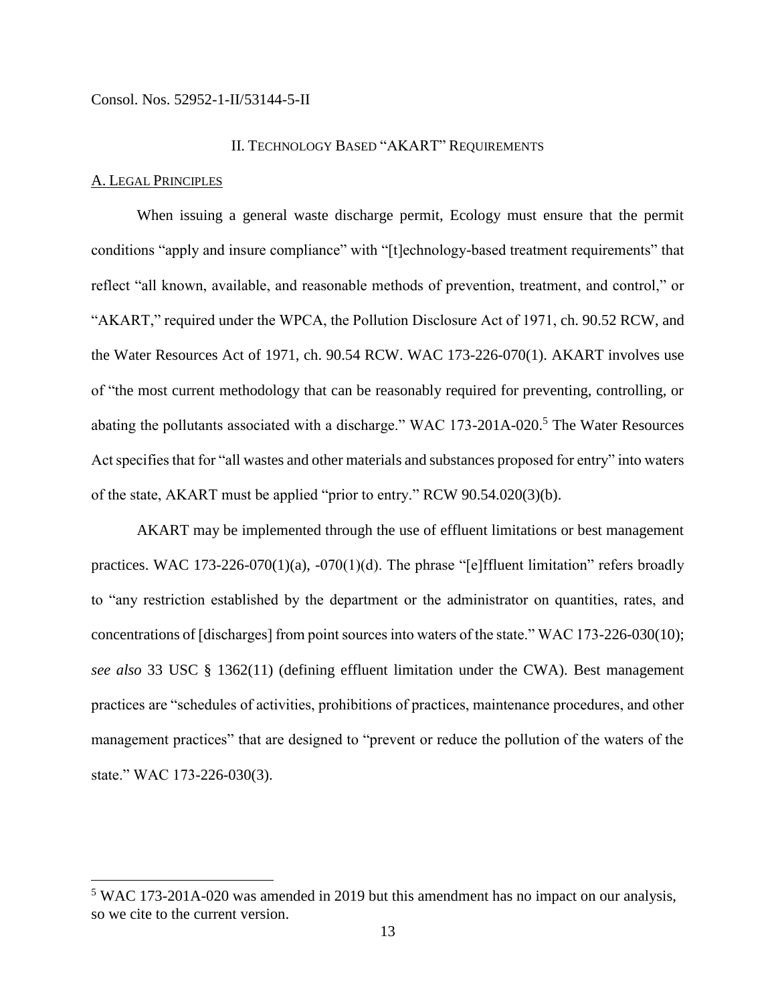### II. TECHNOLOGY BASED "AKART" REQUIREMENTS

## A. LEGAL PRINCIPLES

 $\overline{a}$ 

When issuing a general waste discharge permit, Ecology must ensure that the permit conditions "apply and insure compliance" with "[t]echnology-based treatment requirements" that reflect "all known, available, and reasonable methods of prevention, treatment, and control," or "AKART," required under the WPCA, the Pollution Disclosure Act of 1971, ch. 90.52 RCW, and the Water Resources Act of 1971, ch. 90.54 RCW. WAC 173-226-070(1). AKART involves use of "the most current methodology that can be reasonably required for preventing, controlling, or abating the pollutants associated with a discharge." WAC 173-201A-020.<sup>5</sup> The Water Resources Act specifies that for "all wastes and other materials and substances proposed for entry" into waters of the state, AKART must be applied "prior to entry." RCW 90.54.020(3)(b).

AKART may be implemented through the use of effluent limitations or best management practices. WAC  $173-226-070(1)(a)$ ,  $-070(1)(d)$ . The phrase "[e]ffluent limitation" refers broadly to "any restriction established by the department or the administrator on quantities, rates, and concentrations of [discharges] from point sources into waters of the state." WAC 173-226-030(10); *see also* 33 USC § 1362(11) (defining effluent limitation under the CWA). Best management practices are "schedules of activities, prohibitions of practices, maintenance procedures, and other management practices" that are designed to "prevent or reduce the pollution of the waters of the state." WAC 173-226-030(3).

<sup>5</sup> WAC 173-201A-020 was amended in 2019 but this amendment has no impact on our analysis, so we cite to the current version.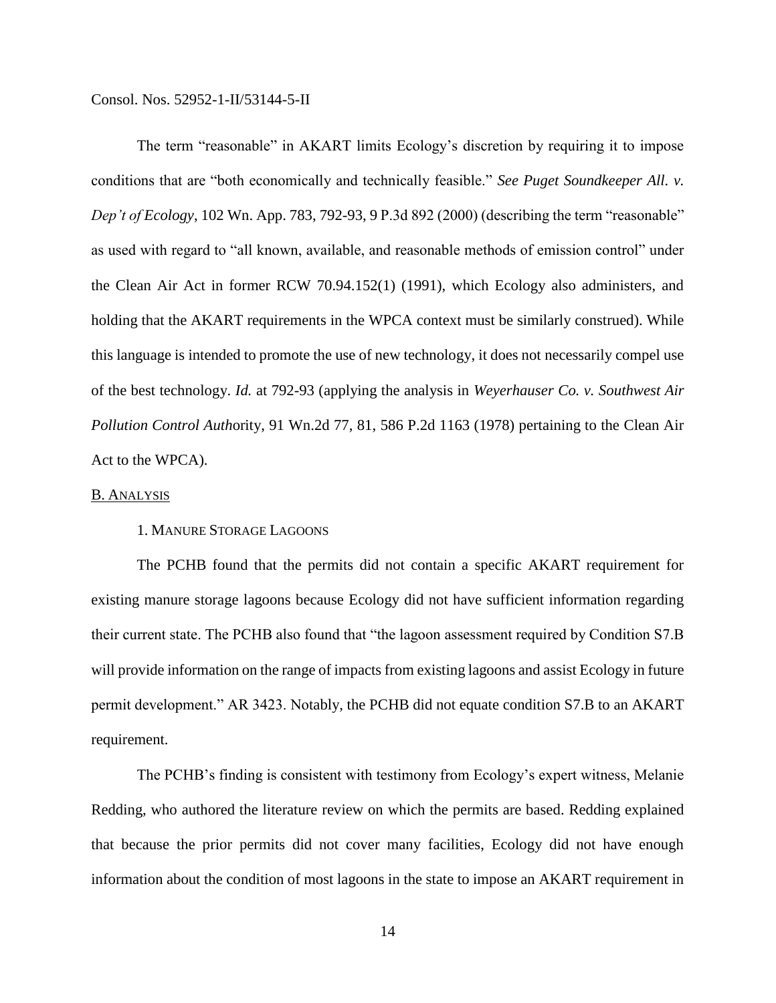The term "reasonable" in AKART limits Ecology's discretion by requiring it to impose conditions that are "both economically and technically feasible." *See Puget Soundkeeper All. v. Dep't of Ecology*, 102 Wn. App. 783, 792-93, 9 P.3d 892 (2000) (describing the term "reasonable" as used with regard to "all known, available, and reasonable methods of emission control" under the Clean Air Act in former RCW 70.94.152(1) (1991), which Ecology also administers, and holding that the AKART requirements in the WPCA context must be similarly construed). While this language is intended to promote the use of new technology, it does not necessarily compel use of the best technology. *Id.* at 792-93 (applying the analysis in *Weyerhauser Co. v. Southwest Air Pollution Control Auth*ority, 91 Wn.2d 77, 81, 586 P.2d 1163 (1978) pertaining to the Clean Air Act to the WPCA).

### B. ANALYSIS

## 1. MANURE STORAGE LAGOONS

The PCHB found that the permits did not contain a specific AKART requirement for existing manure storage lagoons because Ecology did not have sufficient information regarding their current state. The PCHB also found that "the lagoon assessment required by Condition S7.B will provide information on the range of impacts from existing lagoons and assist Ecology in future permit development." AR 3423. Notably, the PCHB did not equate condition S7.B to an AKART requirement.

The PCHB's finding is consistent with testimony from Ecology's expert witness, Melanie Redding, who authored the literature review on which the permits are based. Redding explained that because the prior permits did not cover many facilities, Ecology did not have enough information about the condition of most lagoons in the state to impose an AKART requirement in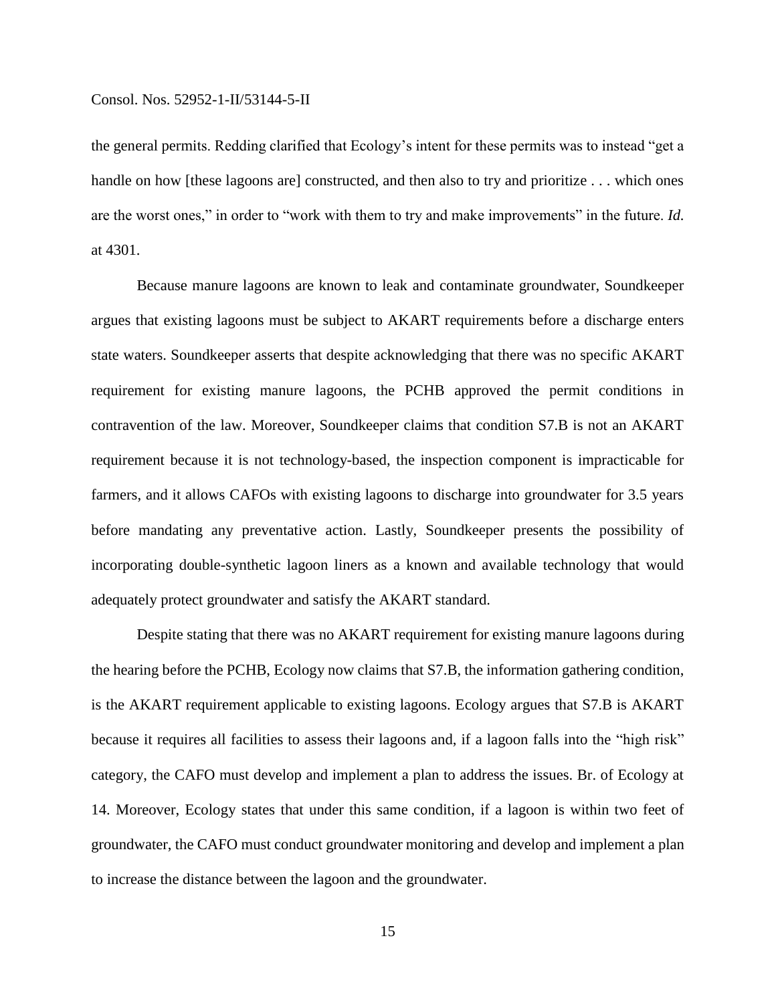the general permits. Redding clarified that Ecology's intent for these permits was to instead "get a handle on how [these lagoons are] constructed, and then also to try and prioritize . . . which ones are the worst ones," in order to "work with them to try and make improvements" in the future. *Id.* at 4301.

Because manure lagoons are known to leak and contaminate groundwater, Soundkeeper argues that existing lagoons must be subject to AKART requirements before a discharge enters state waters. Soundkeeper asserts that despite acknowledging that there was no specific AKART requirement for existing manure lagoons, the PCHB approved the permit conditions in contravention of the law. Moreover, Soundkeeper claims that condition S7.B is not an AKART requirement because it is not technology-based, the inspection component is impracticable for farmers, and it allows CAFOs with existing lagoons to discharge into groundwater for 3.5 years before mandating any preventative action. Lastly, Soundkeeper presents the possibility of incorporating double-synthetic lagoon liners as a known and available technology that would adequately protect groundwater and satisfy the AKART standard.

Despite stating that there was no AKART requirement for existing manure lagoons during the hearing before the PCHB, Ecology now claims that S7.B, the information gathering condition, is the AKART requirement applicable to existing lagoons. Ecology argues that S7.B is AKART because it requires all facilities to assess their lagoons and, if a lagoon falls into the "high risk" category, the CAFO must develop and implement a plan to address the issues. Br. of Ecology at 14. Moreover, Ecology states that under this same condition, if a lagoon is within two feet of groundwater, the CAFO must conduct groundwater monitoring and develop and implement a plan to increase the distance between the lagoon and the groundwater.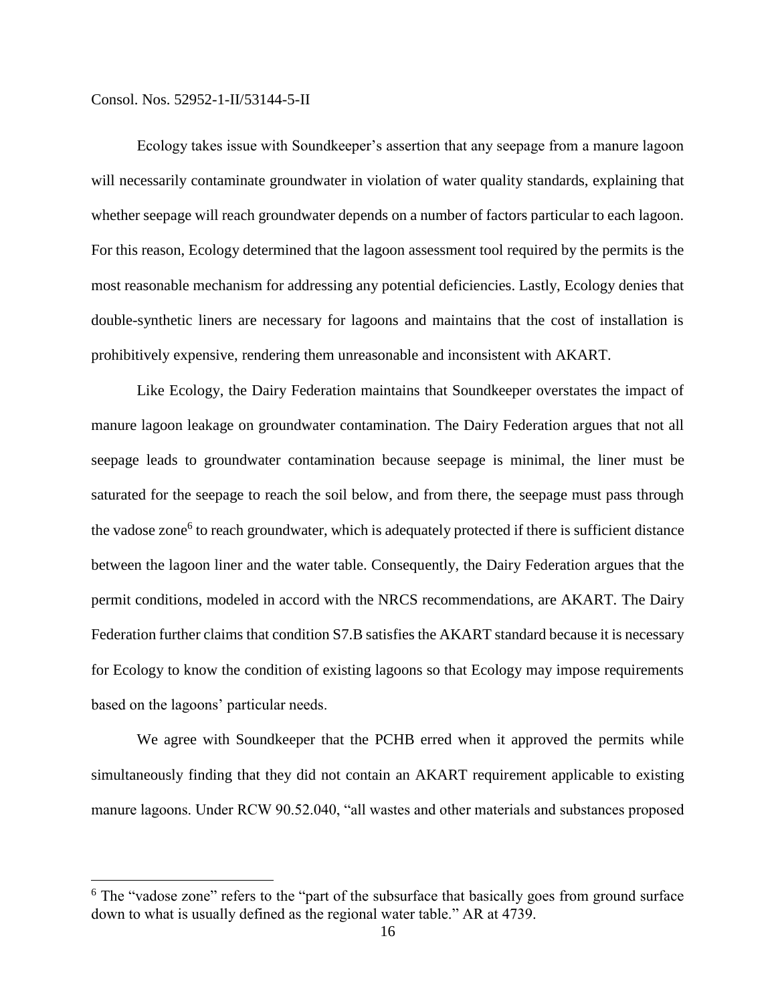$\overline{a}$ 

Ecology takes issue with Soundkeeper's assertion that any seepage from a manure lagoon will necessarily contaminate groundwater in violation of water quality standards, explaining that whether seepage will reach groundwater depends on a number of factors particular to each lagoon. For this reason, Ecology determined that the lagoon assessment tool required by the permits is the most reasonable mechanism for addressing any potential deficiencies. Lastly, Ecology denies that double-synthetic liners are necessary for lagoons and maintains that the cost of installation is prohibitively expensive, rendering them unreasonable and inconsistent with AKART.

Like Ecology, the Dairy Federation maintains that Soundkeeper overstates the impact of manure lagoon leakage on groundwater contamination. The Dairy Federation argues that not all seepage leads to groundwater contamination because seepage is minimal, the liner must be saturated for the seepage to reach the soil below, and from there, the seepage must pass through the vadose zone<sup>6</sup> to reach groundwater, which is adequately protected if there is sufficient distance between the lagoon liner and the water table. Consequently, the Dairy Federation argues that the permit conditions, modeled in accord with the NRCS recommendations, are AKART. The Dairy Federation further claims that condition S7.B satisfies the AKART standard because it is necessary for Ecology to know the condition of existing lagoons so that Ecology may impose requirements based on the lagoons' particular needs.

We agree with Soundkeeper that the PCHB erred when it approved the permits while simultaneously finding that they did not contain an AKART requirement applicable to existing manure lagoons. Under RCW 90.52.040, "all wastes and other materials and substances proposed

<sup>&</sup>lt;sup>6</sup> The "vadose zone" refers to the "part of the subsurface that basically goes from ground surface down to what is usually defined as the regional water table." AR at 4739.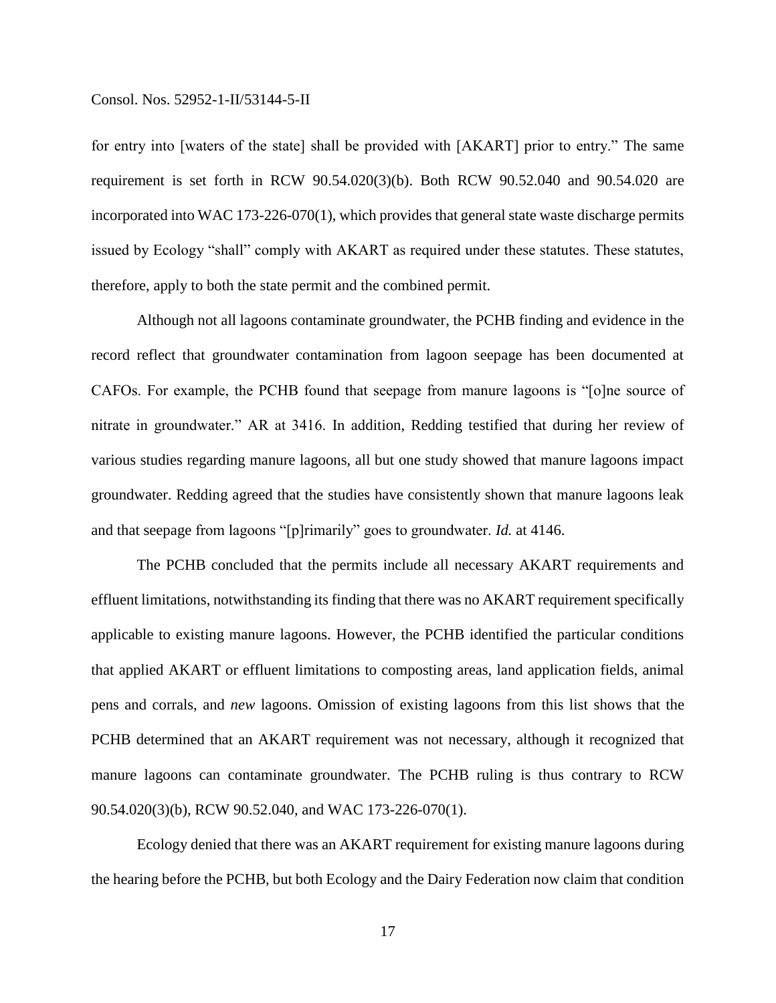for entry into [waters of the state] shall be provided with [AKART] prior to entry." The same requirement is set forth in RCW 90.54.020(3)(b). Both RCW 90.52.040 and 90.54.020 are incorporated into WAC 173-226-070(1), which provides that general state waste discharge permits issued by Ecology "shall" comply with AKART as required under these statutes. These statutes, therefore, apply to both the state permit and the combined permit.

Although not all lagoons contaminate groundwater, the PCHB finding and evidence in the record reflect that groundwater contamination from lagoon seepage has been documented at CAFOs. For example, the PCHB found that seepage from manure lagoons is "[o]ne source of nitrate in groundwater." AR at 3416. In addition, Redding testified that during her review of various studies regarding manure lagoons, all but one study showed that manure lagoons impact groundwater. Redding agreed that the studies have consistently shown that manure lagoons leak and that seepage from lagoons "[p]rimarily" goes to groundwater. *Id.* at 4146.

The PCHB concluded that the permits include all necessary AKART requirements and effluent limitations, notwithstanding its finding that there was no AKART requirement specifically applicable to existing manure lagoons. However, the PCHB identified the particular conditions that applied AKART or effluent limitations to composting areas, land application fields, animal pens and corrals, and *new* lagoons. Omission of existing lagoons from this list shows that the PCHB determined that an AKART requirement was not necessary, although it recognized that manure lagoons can contaminate groundwater. The PCHB ruling is thus contrary to RCW 90.54.020(3)(b), RCW 90.52.040, and WAC 173-226-070(1).

Ecology denied that there was an AKART requirement for existing manure lagoons during the hearing before the PCHB, but both Ecology and the Dairy Federation now claim that condition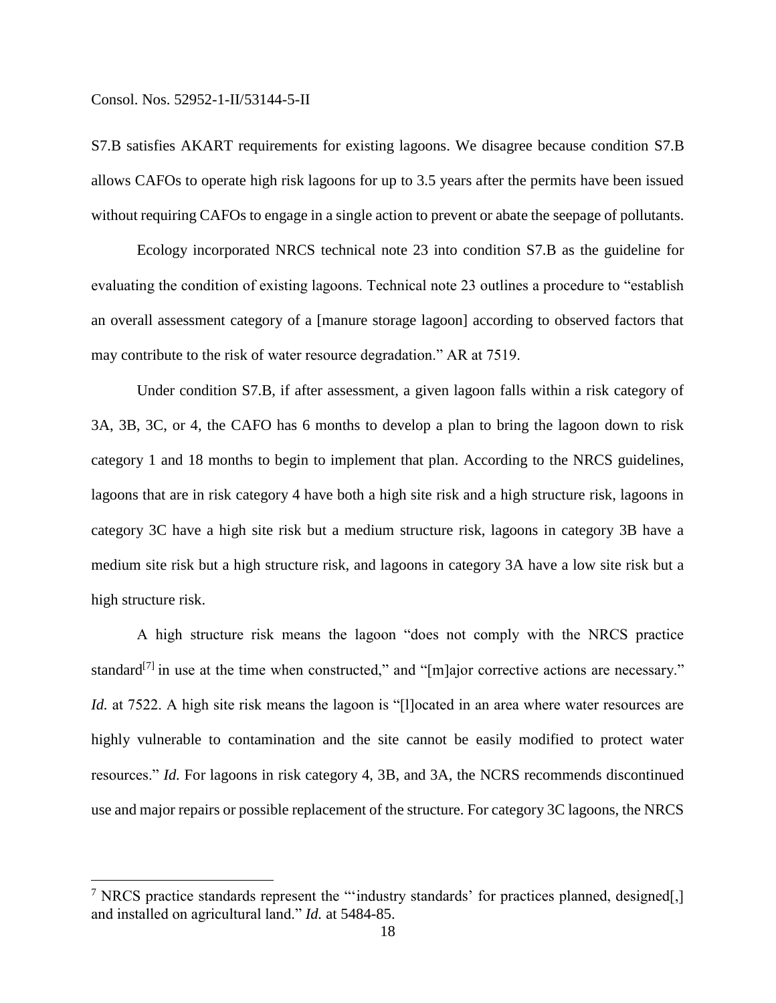$\overline{a}$ 

S7.B satisfies AKART requirements for existing lagoons. We disagree because condition S7.B allows CAFOs to operate high risk lagoons for up to 3.5 years after the permits have been issued without requiring CAFOs to engage in a single action to prevent or abate the seepage of pollutants.

Ecology incorporated NRCS technical note 23 into condition S7.B as the guideline for evaluating the condition of existing lagoons. Technical note 23 outlines a procedure to "establish an overall assessment category of a [manure storage lagoon] according to observed factors that may contribute to the risk of water resource degradation." AR at 7519.

Under condition S7.B, if after assessment, a given lagoon falls within a risk category of 3A, 3B, 3C, or 4, the CAFO has 6 months to develop a plan to bring the lagoon down to risk category 1 and 18 months to begin to implement that plan. According to the NRCS guidelines, lagoons that are in risk category 4 have both a high site risk and a high structure risk, lagoons in category 3C have a high site risk but a medium structure risk, lagoons in category 3B have a medium site risk but a high structure risk, and lagoons in category 3A have a low site risk but a high structure risk.

A high structure risk means the lagoon "does not comply with the NRCS practice standard<sup>[7]</sup> in use at the time when constructed," and "[m]ajor corrective actions are necessary." *Id.* at 7522. A high site risk means the lagoon is "[l]ocated in an area where water resources are highly vulnerable to contamination and the site cannot be easily modified to protect water resources." *Id.* For lagoons in risk category 4, 3B, and 3A, the NCRS recommends discontinued use and major repairs or possible replacement of the structure. For category 3C lagoons, the NRCS

 $7$  NRCS practice standards represent the "'industry standards' for practices planned, designed[,] and installed on agricultural land." *Id.* at 5484-85.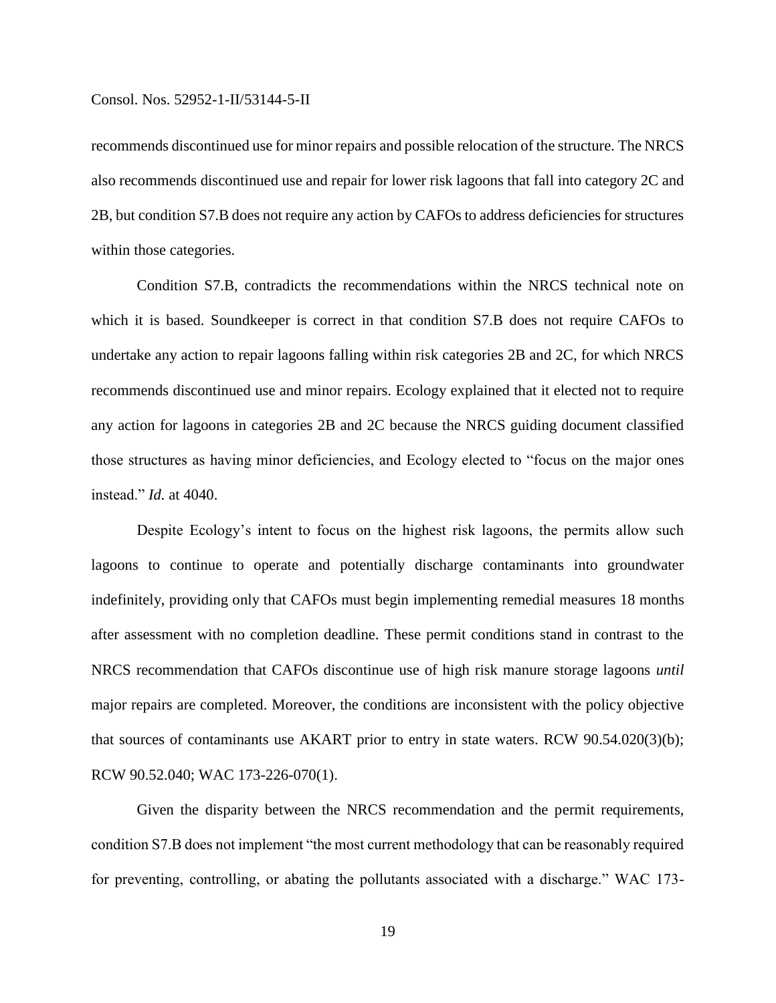recommends discontinued use for minor repairs and possible relocation of the structure. The NRCS also recommends discontinued use and repair for lower risk lagoons that fall into category 2C and 2B, but condition S7.B does not require any action by CAFOs to address deficiencies for structures within those categories.

Condition S7.B, contradicts the recommendations within the NRCS technical note on which it is based. Soundkeeper is correct in that condition S7.B does not require CAFOs to undertake any action to repair lagoons falling within risk categories 2B and 2C, for which NRCS recommends discontinued use and minor repairs. Ecology explained that it elected not to require any action for lagoons in categories 2B and 2C because the NRCS guiding document classified those structures as having minor deficiencies, and Ecology elected to "focus on the major ones instead." *Id.* at 4040.

Despite Ecology's intent to focus on the highest risk lagoons, the permits allow such lagoons to continue to operate and potentially discharge contaminants into groundwater indefinitely, providing only that CAFOs must begin implementing remedial measures 18 months after assessment with no completion deadline. These permit conditions stand in contrast to the NRCS recommendation that CAFOs discontinue use of high risk manure storage lagoons *until*  major repairs are completed. Moreover, the conditions are inconsistent with the policy objective that sources of contaminants use AKART prior to entry in state waters. RCW 90.54.020(3)(b); RCW 90.52.040; WAC 173-226-070(1).

Given the disparity between the NRCS recommendation and the permit requirements, condition S7.B does not implement "the most current methodology that can be reasonably required for preventing, controlling, or abating the pollutants associated with a discharge." WAC 173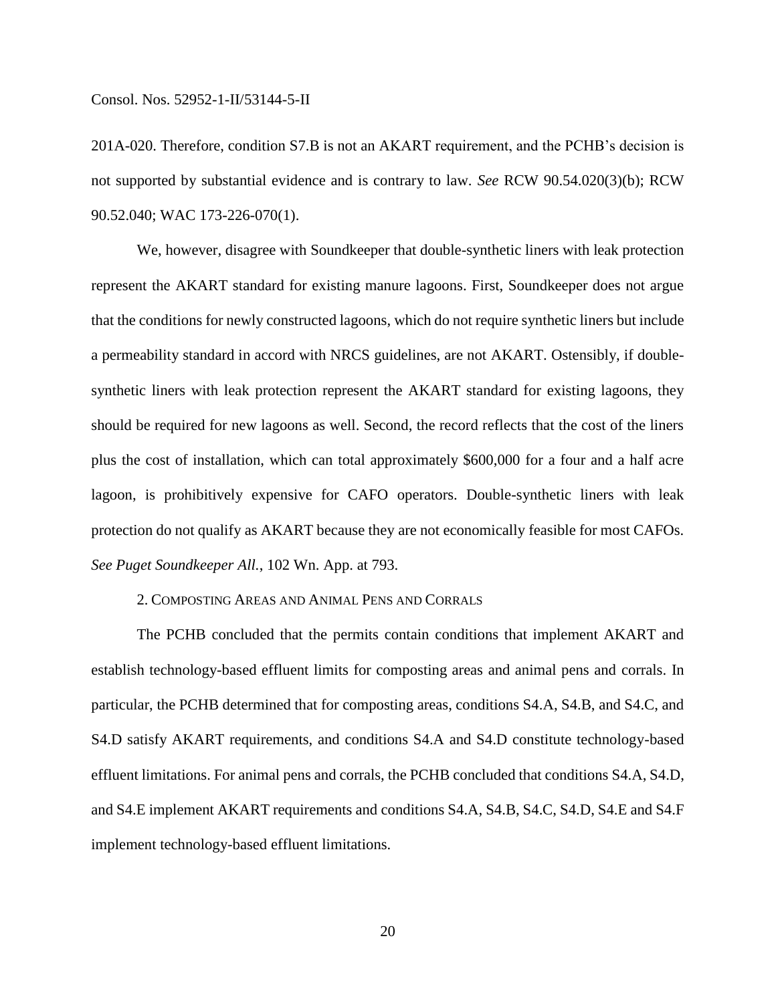201A-020. Therefore, condition S7.B is not an AKART requirement, and the PCHB's decision is not supported by substantial evidence and is contrary to law. *See* RCW 90.54.020(3)(b); RCW 90.52.040; WAC 173-226-070(1).

We, however, disagree with Soundkeeper that double-synthetic liners with leak protection represent the AKART standard for existing manure lagoons. First, Soundkeeper does not argue that the conditions for newly constructed lagoons, which do not require synthetic liners but include a permeability standard in accord with NRCS guidelines, are not AKART. Ostensibly, if doublesynthetic liners with leak protection represent the AKART standard for existing lagoons, they should be required for new lagoons as well. Second, the record reflects that the cost of the liners plus the cost of installation, which can total approximately \$600,000 for a four and a half acre lagoon, is prohibitively expensive for CAFO operators. Double-synthetic liners with leak protection do not qualify as AKART because they are not economically feasible for most CAFOs. *See Puget Soundkeeper All.*, 102 Wn. App. at 793.

## 2. COMPOSTING AREAS AND ANIMAL PENS AND CORRALS

The PCHB concluded that the permits contain conditions that implement AKART and establish technology-based effluent limits for composting areas and animal pens and corrals. In particular, the PCHB determined that for composting areas, conditions S4.A, S4.B, and S4.C, and S4.D satisfy AKART requirements, and conditions S4.A and S4.D constitute technology-based effluent limitations. For animal pens and corrals, the PCHB concluded that conditions S4.A, S4.D, and S4.E implement AKART requirements and conditions S4.A, S4.B, S4.C, S4.D, S4.E and S4.F implement technology-based effluent limitations.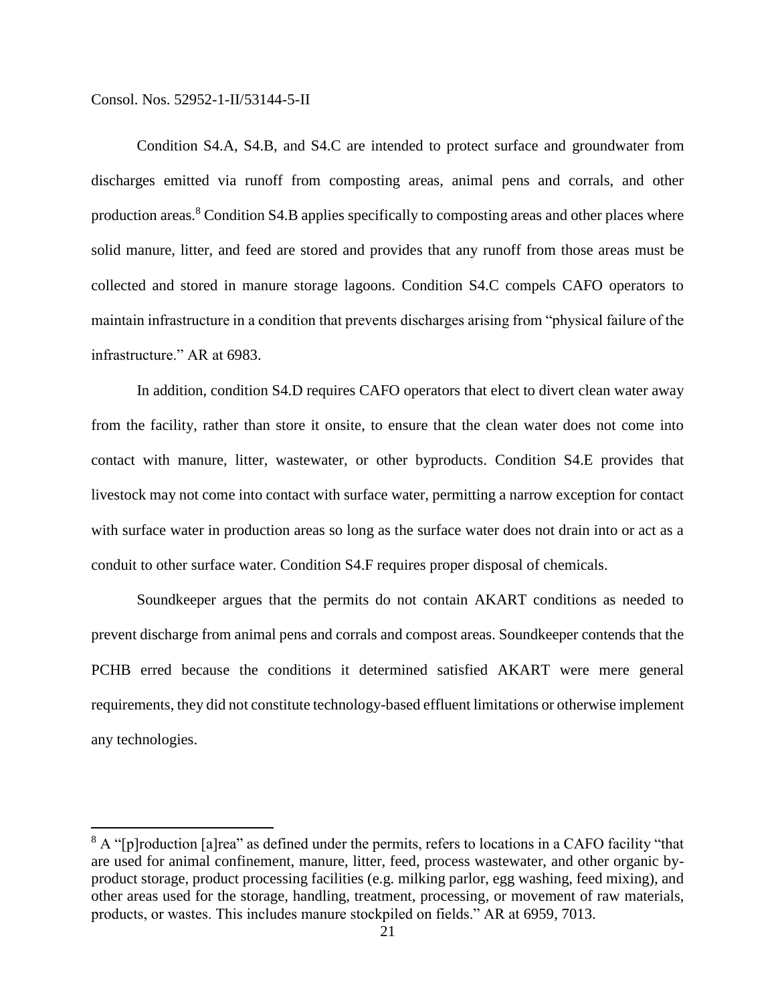$\overline{a}$ 

Condition S4.A, S4.B, and S4.C are intended to protect surface and groundwater from discharges emitted via runoff from composting areas, animal pens and corrals, and other production areas.<sup>8</sup> Condition S4.B applies specifically to composting areas and other places where solid manure, litter, and feed are stored and provides that any runoff from those areas must be collected and stored in manure storage lagoons. Condition S4.C compels CAFO operators to maintain infrastructure in a condition that prevents discharges arising from "physical failure of the infrastructure." AR at 6983.

In addition, condition S4.D requires CAFO operators that elect to divert clean water away from the facility, rather than store it onsite, to ensure that the clean water does not come into contact with manure, litter, wastewater, or other byproducts. Condition S4.E provides that livestock may not come into contact with surface water, permitting a narrow exception for contact with surface water in production areas so long as the surface water does not drain into or act as a conduit to other surface water. Condition S4.F requires proper disposal of chemicals.

Soundkeeper argues that the permits do not contain AKART conditions as needed to prevent discharge from animal pens and corrals and compost areas. Soundkeeper contends that the PCHB erred because the conditions it determined satisfied AKART were mere general requirements, they did not constitute technology-based effluent limitations or otherwise implement any technologies.

 $8$  A "[p]roduction [a]rea" as defined under the permits, refers to locations in a CAFO facility "that are used for animal confinement, manure, litter, feed, process wastewater, and other organic byproduct storage, product processing facilities (e.g. milking parlor, egg washing, feed mixing), and other areas used for the storage, handling, treatment, processing, or movement of raw materials, products, or wastes. This includes manure stockpiled on fields." AR at 6959, 7013.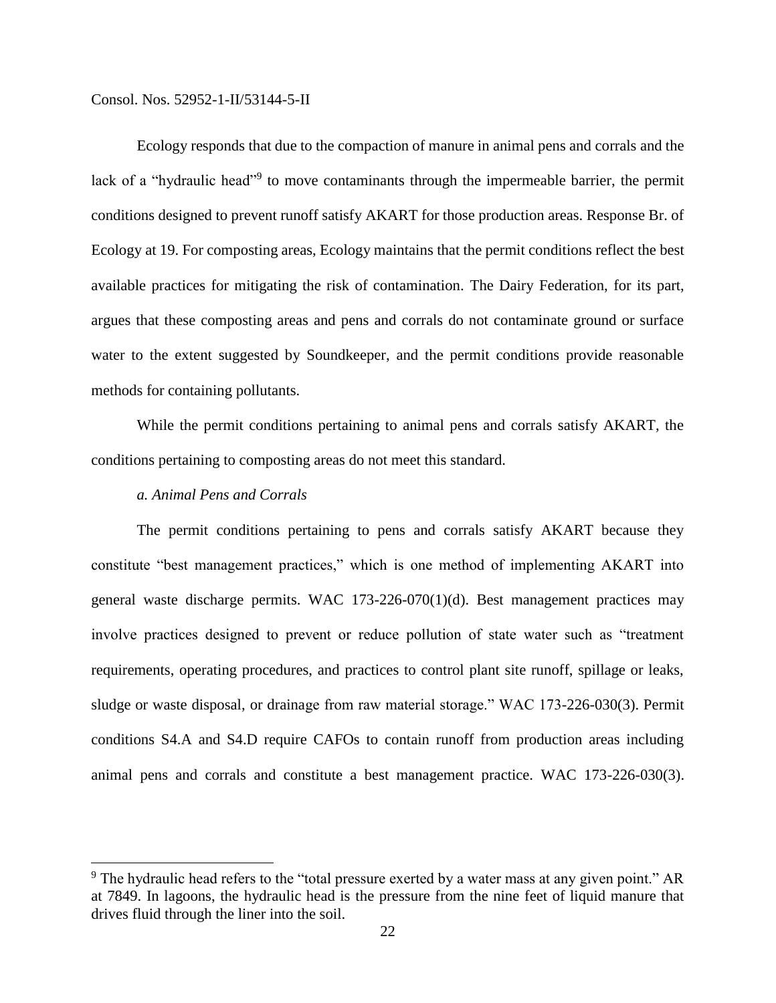Ecology responds that due to the compaction of manure in animal pens and corrals and the lack of a "hydraulic head"<sup>9</sup> to move contaminants through the impermeable barrier, the permit conditions designed to prevent runoff satisfy AKART for those production areas. Response Br. of Ecology at 19. For composting areas, Ecology maintains that the permit conditions reflect the best available practices for mitigating the risk of contamination. The Dairy Federation, for its part, argues that these composting areas and pens and corrals do not contaminate ground or surface water to the extent suggested by Soundkeeper, and the permit conditions provide reasonable methods for containing pollutants.

While the permit conditions pertaining to animal pens and corrals satisfy AKART, the conditions pertaining to composting areas do not meet this standard.

## *a. Animal Pens and Corrals*

 $\overline{a}$ 

The permit conditions pertaining to pens and corrals satisfy AKART because they constitute "best management practices," which is one method of implementing AKART into general waste discharge permits. WAC 173-226-070(1)(d). Best management practices may involve practices designed to prevent or reduce pollution of state water such as "treatment requirements, operating procedures, and practices to control plant site runoff, spillage or leaks, sludge or waste disposal, or drainage from raw material storage." WAC 173-226-030(3). Permit conditions S4.A and S4.D require CAFOs to contain runoff from production areas including animal pens and corrals and constitute a best management practice. WAC 173-226-030(3).

 $9$  The hydraulic head refers to the "total pressure exerted by a water mass at any given point." AR at 7849. In lagoons, the hydraulic head is the pressure from the nine feet of liquid manure that drives fluid through the liner into the soil.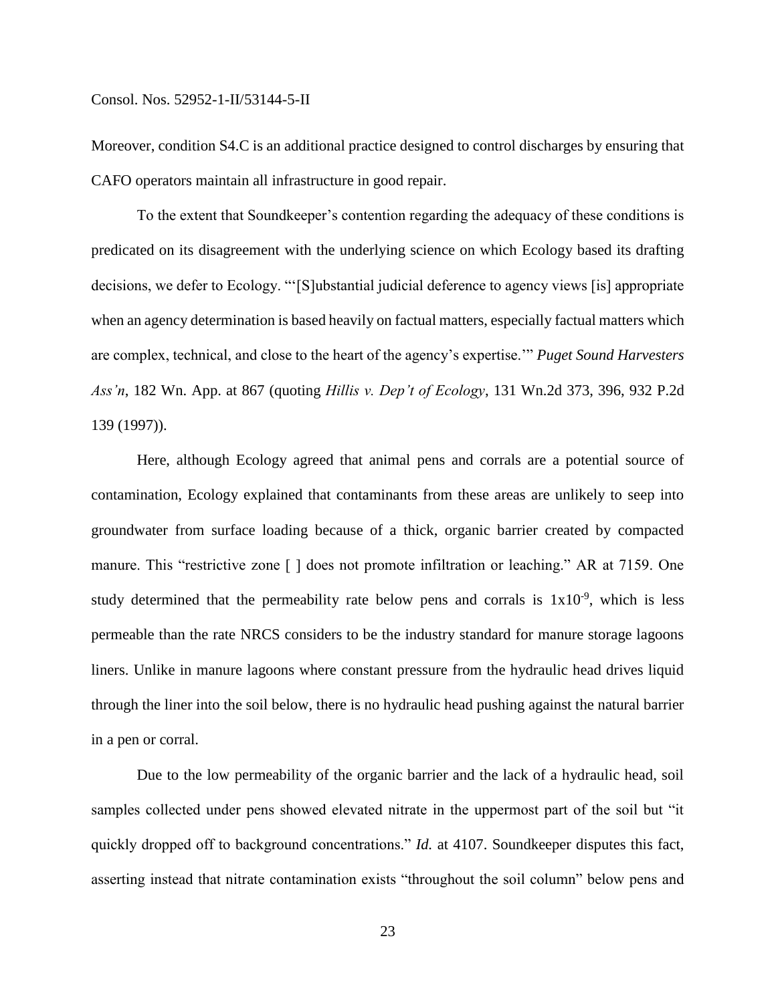Moreover, condition S4.C is an additional practice designed to control discharges by ensuring that CAFO operators maintain all infrastructure in good repair.

To the extent that Soundkeeper's contention regarding the adequacy of these conditions is predicated on its disagreement with the underlying science on which Ecology based its drafting decisions, we defer to Ecology. "'[S]ubstantial judicial deference to agency views [is] appropriate when an agency determination is based heavily on factual matters, especially factual matters which are complex, technical, and close to the heart of the agency's expertise.'" *Puget Sound Harvesters Ass'n*, 182 Wn. App. at 867 (quoting *Hillis v. Dep't of Ecology*, 131 Wn.2d 373, 396, 932 P.2d 139 (1997)).

Here, although Ecology agreed that animal pens and corrals are a potential source of contamination, Ecology explained that contaminants from these areas are unlikely to seep into groundwater from surface loading because of a thick, organic barrier created by compacted manure. This "restrictive zone [ ] does not promote infiltration or leaching." AR at 7159. One study determined that the permeability rate below pens and corrals is  $1x10^{-9}$ , which is less permeable than the rate NRCS considers to be the industry standard for manure storage lagoons liners. Unlike in manure lagoons where constant pressure from the hydraulic head drives liquid through the liner into the soil below, there is no hydraulic head pushing against the natural barrier in a pen or corral.

Due to the low permeability of the organic barrier and the lack of a hydraulic head, soil samples collected under pens showed elevated nitrate in the uppermost part of the soil but "it quickly dropped off to background concentrations." *Id.* at 4107. Soundkeeper disputes this fact, asserting instead that nitrate contamination exists "throughout the soil column" below pens and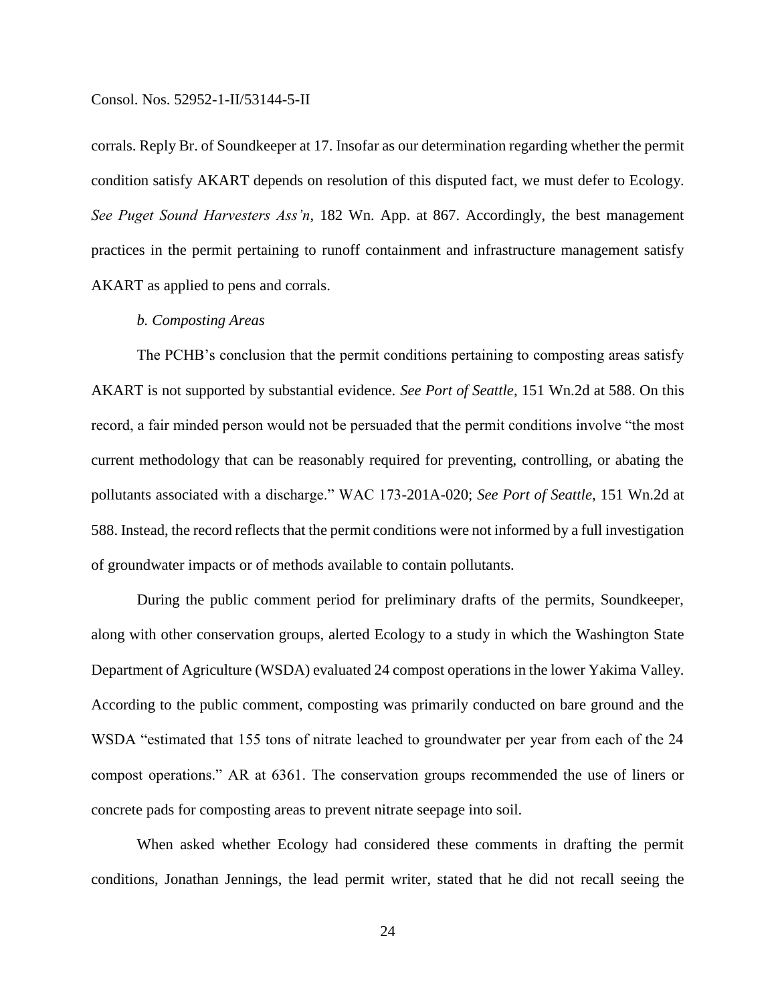corrals. Reply Br. of Soundkeeper at 17. Insofar as our determination regarding whether the permit condition satisfy AKART depends on resolution of this disputed fact, we must defer to Ecology. *See Puget Sound Harvesters Ass'n*, 182 Wn. App. at 867. Accordingly, the best management practices in the permit pertaining to runoff containment and infrastructure management satisfy AKART as applied to pens and corrals.

## *b. Composting Areas*

The PCHB's conclusion that the permit conditions pertaining to composting areas satisfy AKART is not supported by substantial evidence. *See Port of Seattle*, 151 Wn.2d at 588. On this record, a fair minded person would not be persuaded that the permit conditions involve "the most current methodology that can be reasonably required for preventing, controlling, or abating the pollutants associated with a discharge." WAC 173-201A-020; *See Port of Seattle*, 151 Wn.2d at 588. Instead, the record reflects that the permit conditions were not informed by a full investigation of groundwater impacts or of methods available to contain pollutants.

During the public comment period for preliminary drafts of the permits, Soundkeeper, along with other conservation groups, alerted Ecology to a study in which the Washington State Department of Agriculture (WSDA) evaluated 24 compost operations in the lower Yakima Valley. According to the public comment, composting was primarily conducted on bare ground and the WSDA "estimated that 155 tons of nitrate leached to groundwater per year from each of the 24 compost operations." AR at 6361. The conservation groups recommended the use of liners or concrete pads for composting areas to prevent nitrate seepage into soil.

When asked whether Ecology had considered these comments in drafting the permit conditions, Jonathan Jennings, the lead permit writer, stated that he did not recall seeing the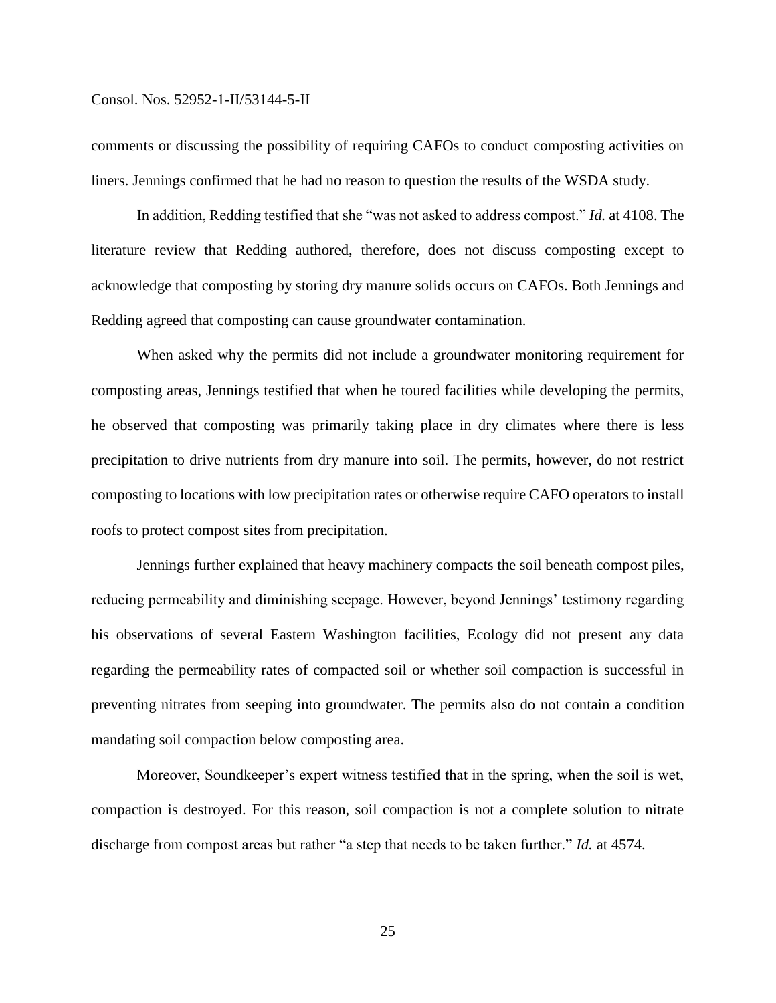comments or discussing the possibility of requiring CAFOs to conduct composting activities on liners. Jennings confirmed that he had no reason to question the results of the WSDA study.

In addition, Redding testified that she "was not asked to address compost." *Id.* at 4108. The literature review that Redding authored, therefore, does not discuss composting except to acknowledge that composting by storing dry manure solids occurs on CAFOs. Both Jennings and Redding agreed that composting can cause groundwater contamination.

When asked why the permits did not include a groundwater monitoring requirement for composting areas, Jennings testified that when he toured facilities while developing the permits, he observed that composting was primarily taking place in dry climates where there is less precipitation to drive nutrients from dry manure into soil. The permits, however, do not restrict composting to locations with low precipitation rates or otherwise require CAFO operators to install roofs to protect compost sites from precipitation.

Jennings further explained that heavy machinery compacts the soil beneath compost piles, reducing permeability and diminishing seepage. However, beyond Jennings' testimony regarding his observations of several Eastern Washington facilities, Ecology did not present any data regarding the permeability rates of compacted soil or whether soil compaction is successful in preventing nitrates from seeping into groundwater. The permits also do not contain a condition mandating soil compaction below composting area.

Moreover, Soundkeeper's expert witness testified that in the spring, when the soil is wet, compaction is destroyed. For this reason, soil compaction is not a complete solution to nitrate discharge from compost areas but rather "a step that needs to be taken further." *Id.* at 4574.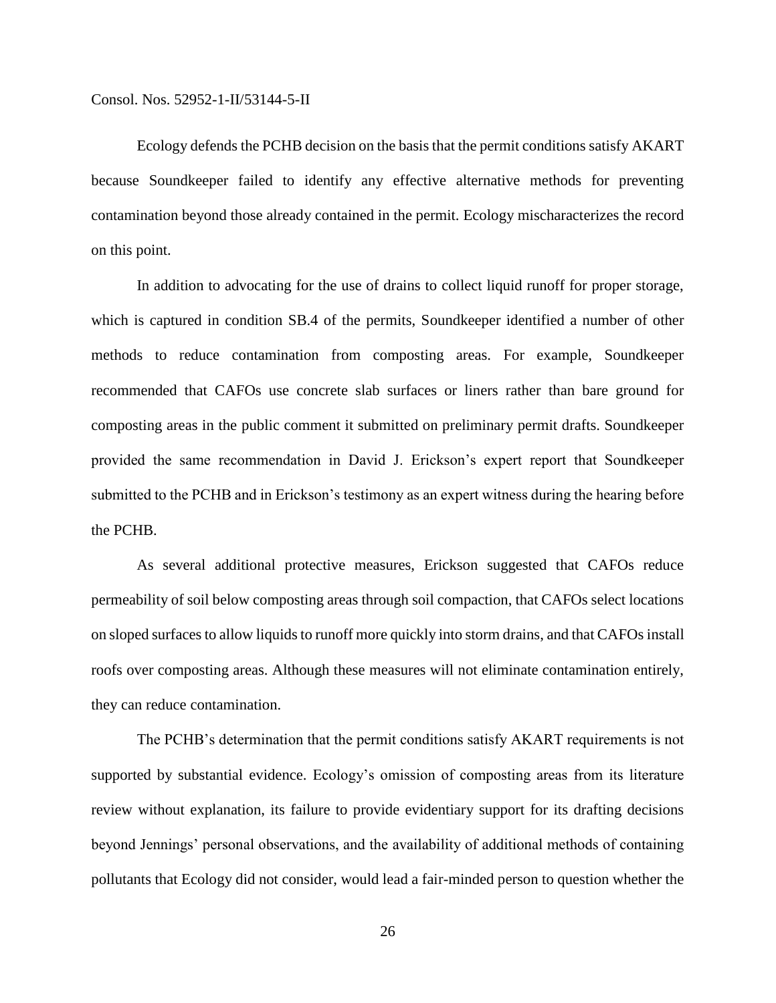Ecology defends the PCHB decision on the basis that the permit conditions satisfy AKART because Soundkeeper failed to identify any effective alternative methods for preventing contamination beyond those already contained in the permit. Ecology mischaracterizes the record on this point.

In addition to advocating for the use of drains to collect liquid runoff for proper storage, which is captured in condition SB.4 of the permits, Soundkeeper identified a number of other methods to reduce contamination from composting areas. For example, Soundkeeper recommended that CAFOs use concrete slab surfaces or liners rather than bare ground for composting areas in the public comment it submitted on preliminary permit drafts. Soundkeeper provided the same recommendation in David J. Erickson's expert report that Soundkeeper submitted to the PCHB and in Erickson's testimony as an expert witness during the hearing before the PCHB.

As several additional protective measures, Erickson suggested that CAFOs reduce permeability of soil below composting areas through soil compaction, that CAFOs select locations on sloped surfaces to allow liquids to runoff more quickly into storm drains, and that CAFOs install roofs over composting areas. Although these measures will not eliminate contamination entirely, they can reduce contamination.

The PCHB's determination that the permit conditions satisfy AKART requirements is not supported by substantial evidence. Ecology's omission of composting areas from its literature review without explanation, its failure to provide evidentiary support for its drafting decisions beyond Jennings' personal observations, and the availability of additional methods of containing pollutants that Ecology did not consider, would lead a fair-minded person to question whether the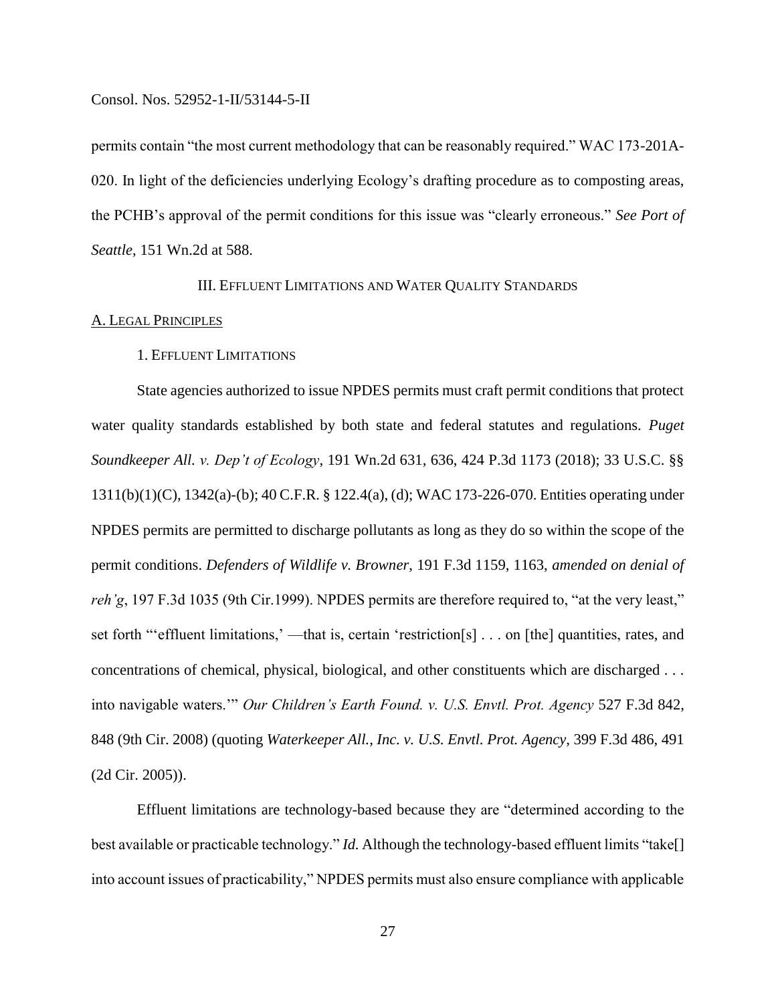permits contain "the most current methodology that can be reasonably required." WAC 173-201A-020. In light of the deficiencies underlying Ecology's drafting procedure as to composting areas, the PCHB's approval of the permit conditions for this issue was "clearly erroneous." *See Port of Seattle*, 151 Wn.2d at 588.

## III. EFFLUENT LIMITATIONS AND WATER QUALITY STANDARDS

#### A. LEGAL PRINCIPLES

## 1. EFFLUENT LIMITATIONS

State agencies authorized to issue NPDES permits must craft permit conditions that protect water quality standards established by both state and federal statutes and regulations. *Puget Soundkeeper All. v. Dep't of Ecology*, 191 Wn.2d 631, 636, 424 P.3d 1173 (2018); 33 U.S.C. §§ 1311(b)(1)(C), 1342(a)-(b); 40 C.F.R. § 122.4(a), (d); WAC 173-226-070. Entities operating under NPDES permits are permitted to discharge pollutants as long as they do so within the scope of the permit conditions. *Defenders of Wildlife v. Browner*, 191 F.3d 1159, 1163, *amended on denial of reh'g*, 197 F.3d 1035 (9th Cir.1999). NPDES permits are therefore required to, "at the very least," set forth "'effluent limitations,' —that is, certain 'restriction[s] . . . on [the] quantities, rates, and concentrations of chemical, physical, biological, and other constituents which are discharged . . . into navigable waters.'" *Our Children's Earth Found. v. U.S. Envtl. Prot. Agency* 527 F.3d 842, 848 (9th Cir. 2008) (quoting *Waterkeeper All., Inc. v. U.S. Envtl. Prot. Agency*, 399 F.3d 486, 491 (2d Cir. 2005)).

Effluent limitations are technology-based because they are "determined according to the best available or practicable technology." *Id.* Although the technology-based effluent limits "take[] into account issues of practicability," NPDES permits must also ensure compliance with applicable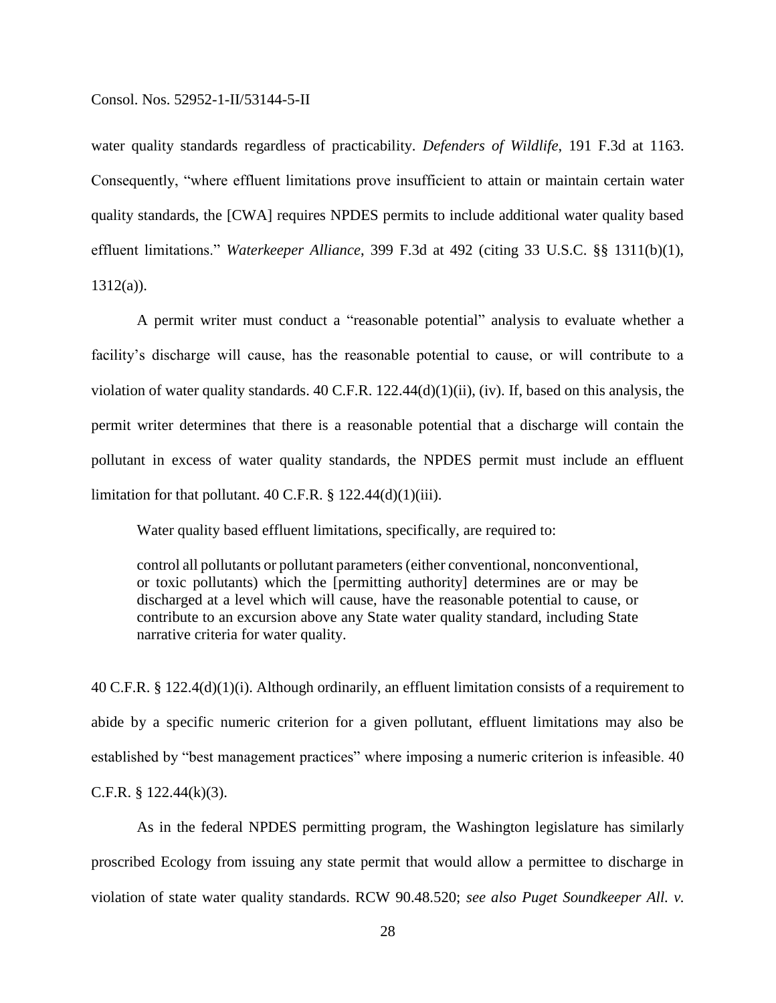water quality standards regardless of practicability. *Defenders of Wildlife*, 191 F.3d at 1163. Consequently, "where effluent limitations prove insufficient to attain or maintain certain water quality standards, the [CWA] requires NPDES permits to include additional water quality based effluent limitations." *Waterkeeper Alliance*, 399 F.3d at 492 (citing 33 U.S.C. §§ 1311(b)(1),  $1312(a)$ ).

A permit writer must conduct a "reasonable potential" analysis to evaluate whether a facility's discharge will cause, has the reasonable potential to cause, or will contribute to a violation of water quality standards. 40 C.F.R. 122.44(d)(1)(ii), (iv). If, based on this analysis, the permit writer determines that there is a reasonable potential that a discharge will contain the pollutant in excess of water quality standards, the NPDES permit must include an effluent limitation for that pollutant. 40 C.F.R.  $\S$  122.44(d)(1)(iii).

Water quality based effluent limitations, specifically, are required to:

control all pollutants or pollutant parameters (either conventional, nonconventional, or toxic pollutants) which the [permitting authority] determines are or may be discharged at a level which will cause, have the reasonable potential to cause, or contribute to an excursion above any State water quality standard, including State narrative criteria for water quality.

40 C.F.R. § 122.4(d)(1)(i). Although ordinarily, an effluent limitation consists of a requirement to abide by a specific numeric criterion for a given pollutant, effluent limitations may also be established by "best management practices" where imposing a numeric criterion is infeasible. 40 C.F.R. §  $122.44(k)(3)$ .

As in the federal NPDES permitting program, the Washington legislature has similarly proscribed Ecology from issuing any state permit that would allow a permittee to discharge in violation of state water quality standards. RCW 90.48.520; *see also Puget Soundkeeper All. v.*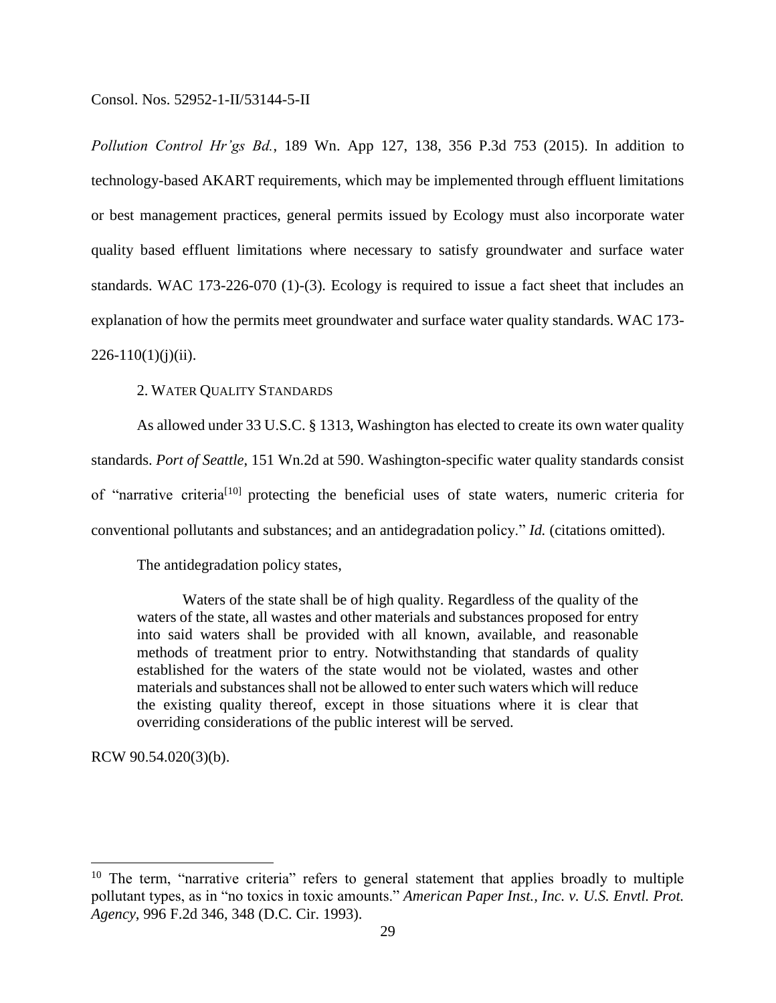*Pollution Control Hr'gs Bd.*, 189 Wn. App 127, 138, 356 P.3d 753 (2015). In addition to technology-based AKART requirements, which may be implemented through effluent limitations or best management practices, general permits issued by Ecology must also incorporate water quality based effluent limitations where necessary to satisfy groundwater and surface water standards. WAC 173-226-070 (1)-(3). Ecology is required to issue a fact sheet that includes an explanation of how the permits meet groundwater and surface water quality standards. WAC 173-  $226-110(1)(i)(ii)$ .

## 2. WATER QUALITY STANDARDS

As allowed under 33 U.S.C. § 1313, Washington has elected to create its own water quality standards. *Port of Seattle*, 151 Wn.2d at 590. Washington-specific water quality standards consist of "narrative criteria[10] protecting the beneficial uses of state waters, numeric criteria for conventional pollutants and substances; and an antidegradation policy." *Id.* (citations omitted).

The antidegradation policy states,

Waters of the state shall be of high quality. Regardless of the quality of the waters of the state, all wastes and other materials and substances proposed for entry into said waters shall be provided with all known, available, and reasonable methods of treatment prior to entry. Notwithstanding that standards of quality established for the waters of the state would not be violated, wastes and other materials and substances shall not be allowed to enter such waters which will reduce the existing quality thereof, except in those situations where it is clear that overriding considerations of the public interest will be served.

RCW 90.54.020(3)(b).

 $\overline{a}$ 

<sup>&</sup>lt;sup>10</sup> The term, "narrative criteria" refers to general statement that applies broadly to multiple pollutant types, as in "no toxics in toxic amounts." *American Paper Inst., Inc. v. U.S. Envtl. Prot. Agency*, 996 F.2d 346, 348 (D.C. Cir. 1993).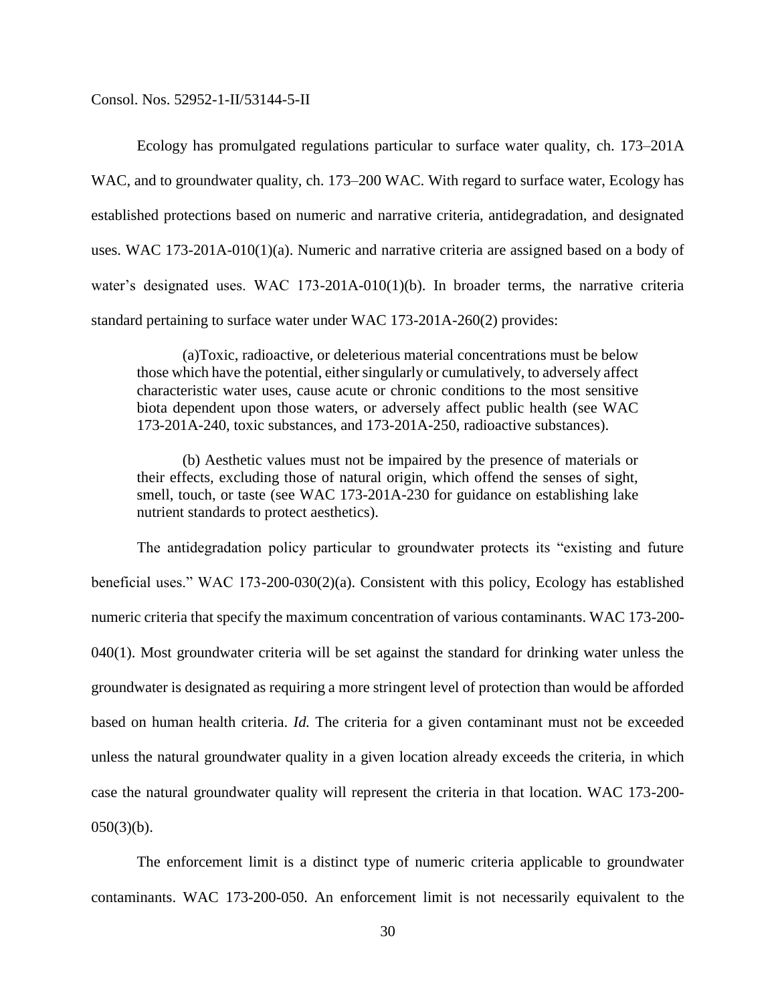Ecology has promulgated regulations particular to surface water quality, ch. 173–201A WAC, and to groundwater quality, ch. 173–200 WAC. With regard to surface water, Ecology has established protections based on numeric and narrative criteria, antidegradation, and designated uses. WAC 173-201A-010(1)(a). Numeric and narrative criteria are assigned based on a body of water's designated uses. WAC 173-201A-010(1)(b). In broader terms, the narrative criteria standard pertaining to surface water under WAC 173-201A-260(2) provides:

(a)Toxic, radioactive, or deleterious material concentrations must be below those which have the potential, either singularly or cumulatively, to adversely affect characteristic water uses, cause acute or chronic conditions to the most sensitive biota dependent upon those waters, or adversely affect public health (see WAC 173-201A-240, toxic substances, and 173-201A-250, radioactive substances).

(b) Aesthetic values must not be impaired by the presence of materials or their effects, excluding those of natural origin, which offend the senses of sight, smell, touch, or taste (see WAC 173-201A-230 for guidance on establishing lake nutrient standards to protect aesthetics).

The antidegradation policy particular to groundwater protects its "existing and future beneficial uses." WAC 173-200-030(2)(a). Consistent with this policy, Ecology has established numeric criteria that specify the maximum concentration of various contaminants. WAC 173-200- 040(1). Most groundwater criteria will be set against the standard for drinking water unless the groundwater is designated as requiring a more stringent level of protection than would be afforded based on human health criteria. *Id.* The criteria for a given contaminant must not be exceeded unless the natural groundwater quality in a given location already exceeds the criteria, in which case the natural groundwater quality will represent the criteria in that location. WAC 173-200-  $050(3)(b)$ .

The enforcement limit is a distinct type of numeric criteria applicable to groundwater contaminants. WAC 173-200-050. An enforcement limit is not necessarily equivalent to the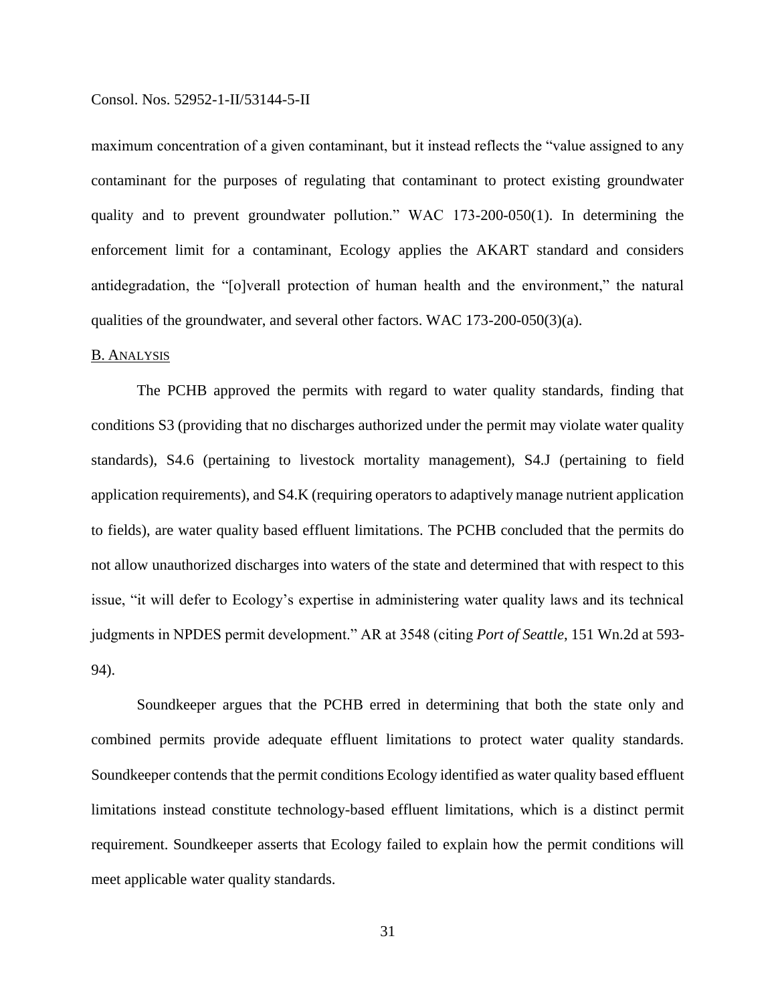maximum concentration of a given contaminant, but it instead reflects the "value assigned to any contaminant for the purposes of regulating that contaminant to protect existing groundwater quality and to prevent groundwater pollution." WAC 173-200-050(1). In determining the enforcement limit for a contaminant, Ecology applies the AKART standard and considers antidegradation, the "[o]verall protection of human health and the environment," the natural qualities of the groundwater, and several other factors. WAC 173-200-050(3)(a).

## B. ANALYSIS

The PCHB approved the permits with regard to water quality standards, finding that conditions S3 (providing that no discharges authorized under the permit may violate water quality standards), S4.6 (pertaining to livestock mortality management), S4.J (pertaining to field application requirements), and S4.K (requiring operators to adaptively manage nutrient application to fields), are water quality based effluent limitations. The PCHB concluded that the permits do not allow unauthorized discharges into waters of the state and determined that with respect to this issue, "it will defer to Ecology's expertise in administering water quality laws and its technical judgments in NPDES permit development." AR at 3548 (citing *Port of Seattle*, 151 Wn.2d at 593- 94).

Soundkeeper argues that the PCHB erred in determining that both the state only and combined permits provide adequate effluent limitations to protect water quality standards. Soundkeeper contends that the permit conditions Ecology identified as water quality based effluent limitations instead constitute technology-based effluent limitations, which is a distinct permit requirement. Soundkeeper asserts that Ecology failed to explain how the permit conditions will meet applicable water quality standards.

31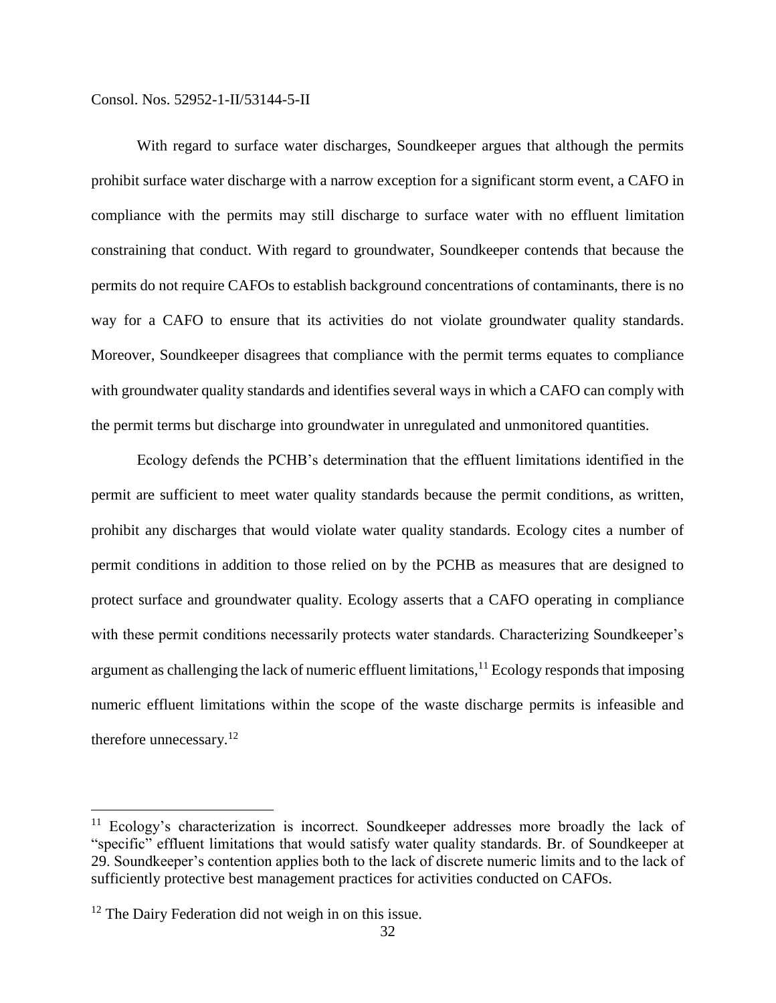With regard to surface water discharges, Soundkeeper argues that although the permits prohibit surface water discharge with a narrow exception for a significant storm event, a CAFO in compliance with the permits may still discharge to surface water with no effluent limitation constraining that conduct. With regard to groundwater, Soundkeeper contends that because the permits do not require CAFOs to establish background concentrations of contaminants, there is no way for a CAFO to ensure that its activities do not violate groundwater quality standards. Moreover, Soundkeeper disagrees that compliance with the permit terms equates to compliance with groundwater quality standards and identifies several ways in which a CAFO can comply with the permit terms but discharge into groundwater in unregulated and unmonitored quantities.

Ecology defends the PCHB's determination that the effluent limitations identified in the permit are sufficient to meet water quality standards because the permit conditions, as written, prohibit any discharges that would violate water quality standards. Ecology cites a number of permit conditions in addition to those relied on by the PCHB as measures that are designed to protect surface and groundwater quality. Ecology asserts that a CAFO operating in compliance with these permit conditions necessarily protects water standards. Characterizing Soundkeeper's argument as challenging the lack of numeric effluent limitations,  $^{11}$  Ecology responds that imposing numeric effluent limitations within the scope of the waste discharge permits is infeasible and therefore unnecessary.<sup>12</sup>

 $\overline{a}$ 

 $11$  Ecology's characterization is incorrect. Soundkeeper addresses more broadly the lack of "specific" effluent limitations that would satisfy water quality standards. Br. of Soundkeeper at 29. Soundkeeper's contention applies both to the lack of discrete numeric limits and to the lack of sufficiently protective best management practices for activities conducted on CAFOs.

 $12$  The Dairy Federation did not weigh in on this issue.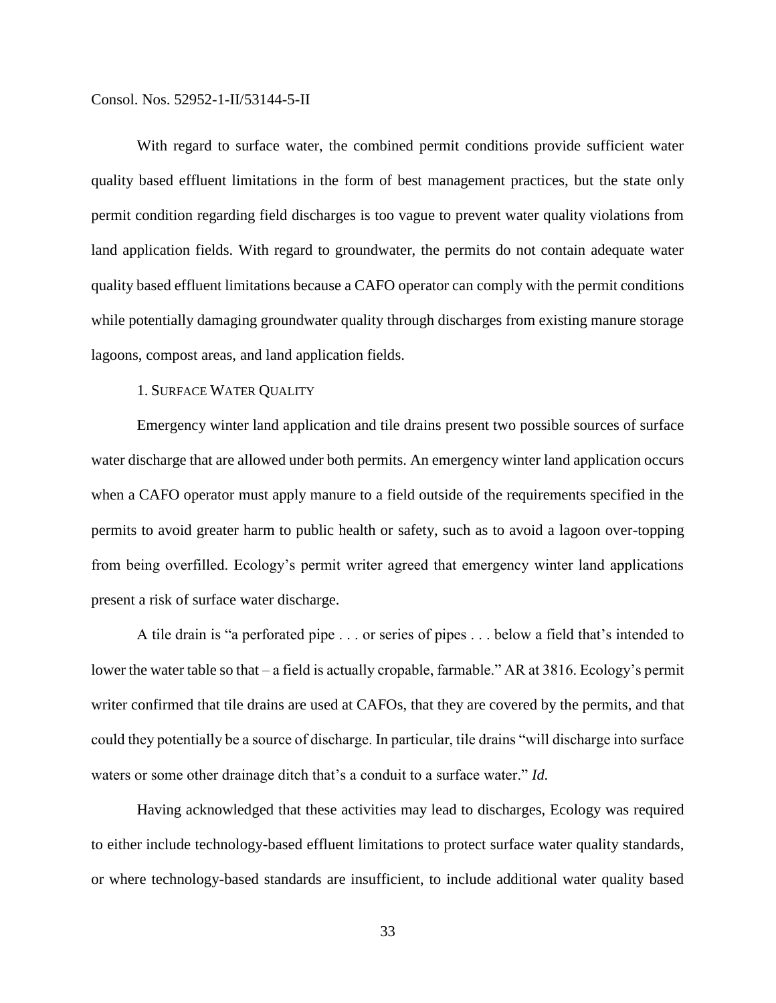With regard to surface water, the combined permit conditions provide sufficient water quality based effluent limitations in the form of best management practices, but the state only permit condition regarding field discharges is too vague to prevent water quality violations from land application fields. With regard to groundwater, the permits do not contain adequate water quality based effluent limitations because a CAFO operator can comply with the permit conditions while potentially damaging groundwater quality through discharges from existing manure storage lagoons, compost areas, and land application fields.

## 1. SURFACE WATER QUALITY

Emergency winter land application and tile drains present two possible sources of surface water discharge that are allowed under both permits. An emergency winter land application occurs when a CAFO operator must apply manure to a field outside of the requirements specified in the permits to avoid greater harm to public health or safety, such as to avoid a lagoon over-topping from being overfilled. Ecology's permit writer agreed that emergency winter land applications present a risk of surface water discharge.

A tile drain is "a perforated pipe . . . or series of pipes . . . below a field that's intended to lower the water table so that – a field is actually cropable, farmable." AR at 3816. Ecology's permit writer confirmed that tile drains are used at CAFOs, that they are covered by the permits, and that could they potentially be a source of discharge. In particular, tile drains "will discharge into surface waters or some other drainage ditch that's a conduit to a surface water." *Id.*

Having acknowledged that these activities may lead to discharges, Ecology was required to either include technology-based effluent limitations to protect surface water quality standards, or where technology-based standards are insufficient, to include additional water quality based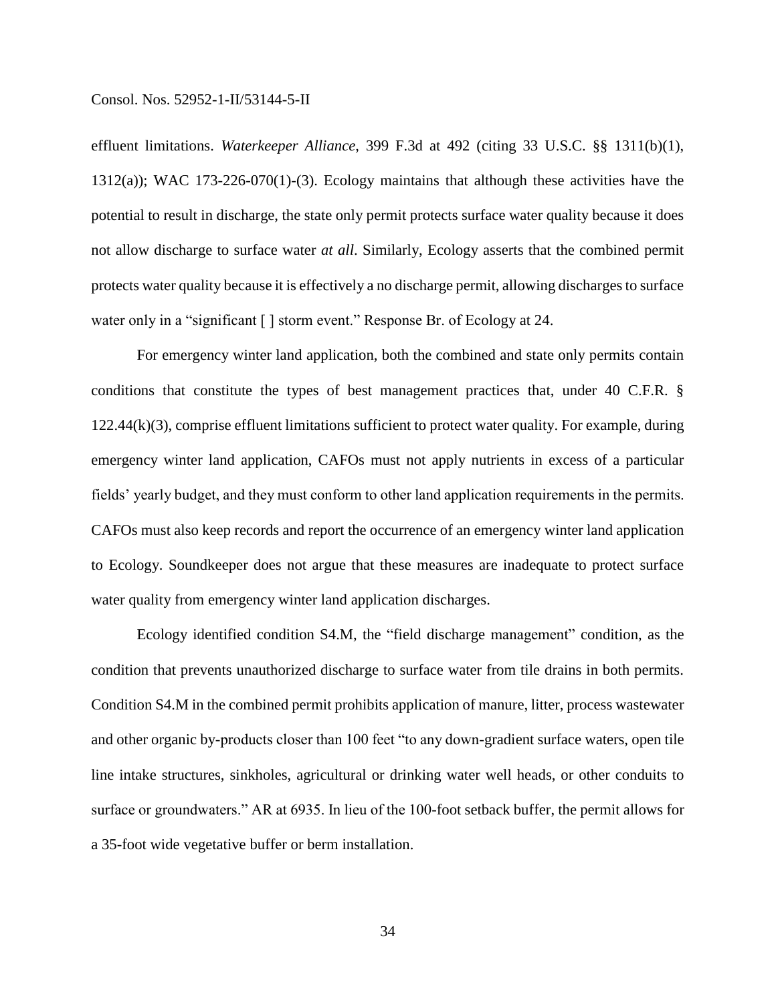effluent limitations. *Waterkeeper Alliance*, 399 F.3d at 492 (citing 33 U.S.C. §§ 1311(b)(1), 1312(a)); WAC 173-226-070(1)-(3). Ecology maintains that although these activities have the potential to result in discharge, the state only permit protects surface water quality because it does not allow discharge to surface water *at all*. Similarly, Ecology asserts that the combined permit protects water quality because it is effectively a no discharge permit, allowing discharges to surface water only in a "significant [ ] storm event." Response Br. of Ecology at 24.

For emergency winter land application, both the combined and state only permits contain conditions that constitute the types of best management practices that, under 40 C.F.R. §  $122.44(k)(3)$ , comprise effluent limitations sufficient to protect water quality. For example, during emergency winter land application, CAFOs must not apply nutrients in excess of a particular fields' yearly budget, and they must conform to other land application requirements in the permits. CAFOs must also keep records and report the occurrence of an emergency winter land application to Ecology. Soundkeeper does not argue that these measures are inadequate to protect surface water quality from emergency winter land application discharges.

Ecology identified condition S4.M, the "field discharge management" condition, as the condition that prevents unauthorized discharge to surface water from tile drains in both permits. Condition S4.M in the combined permit prohibits application of manure, litter, process wastewater and other organic by-products closer than 100 feet "to any down-gradient surface waters, open tile line intake structures, sinkholes, agricultural or drinking water well heads, or other conduits to surface or groundwaters." AR at 6935. In lieu of the 100-foot setback buffer, the permit allows for a 35-foot wide vegetative buffer or berm installation.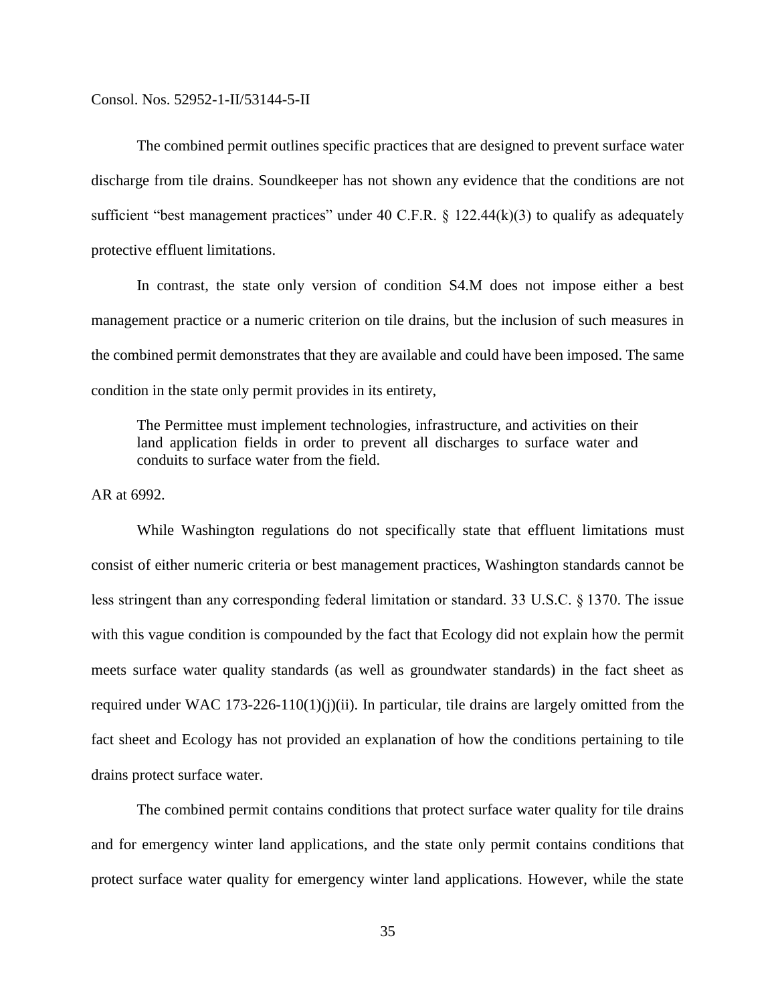The combined permit outlines specific practices that are designed to prevent surface water discharge from tile drains. Soundkeeper has not shown any evidence that the conditions are not sufficient "best management practices" under 40 C.F.R.  $\S$  122.44(k)(3) to qualify as adequately protective effluent limitations.

In contrast, the state only version of condition S4.M does not impose either a best management practice or a numeric criterion on tile drains, but the inclusion of such measures in the combined permit demonstrates that they are available and could have been imposed. The same condition in the state only permit provides in its entirety,

The Permittee must implement technologies, infrastructure, and activities on their land application fields in order to prevent all discharges to surface water and conduits to surface water from the field.

AR at 6992.

While Washington regulations do not specifically state that effluent limitations must consist of either numeric criteria or best management practices, Washington standards cannot be less stringent than any corresponding federal limitation or standard. 33 U.S.C. § 1370. The issue with this vague condition is compounded by the fact that Ecology did not explain how the permit meets surface water quality standards (as well as groundwater standards) in the fact sheet as required under WAC 173-226-110(1)(j)(ii). In particular, tile drains are largely omitted from the fact sheet and Ecology has not provided an explanation of how the conditions pertaining to tile drains protect surface water.

The combined permit contains conditions that protect surface water quality for tile drains and for emergency winter land applications, and the state only permit contains conditions that protect surface water quality for emergency winter land applications. However, while the state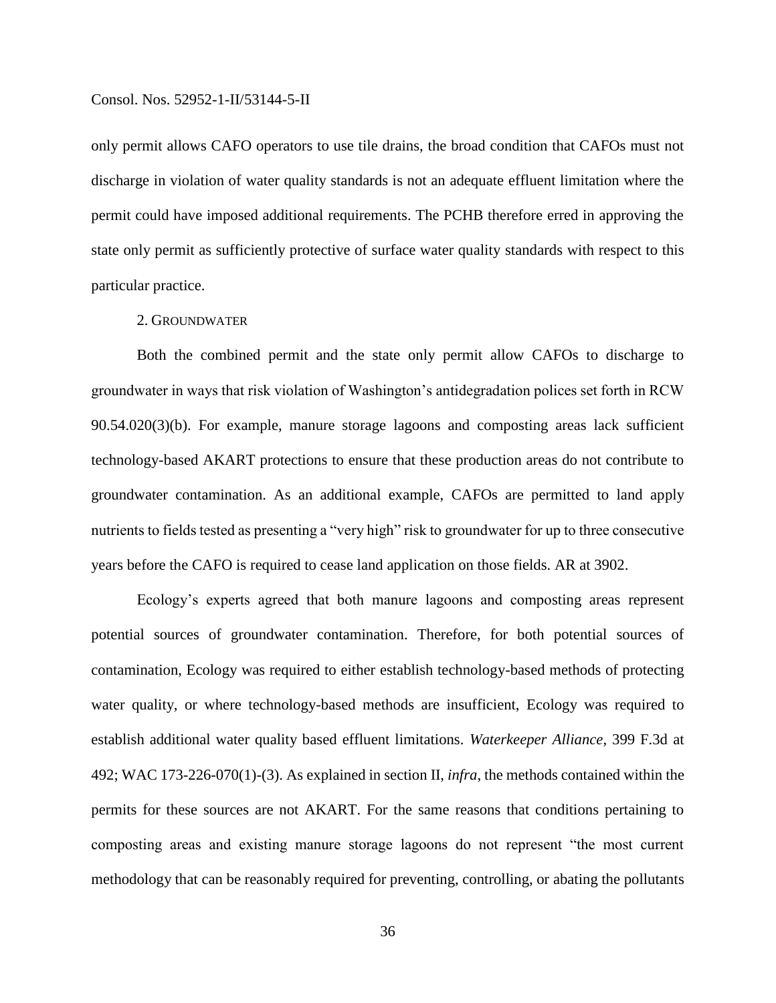only permit allows CAFO operators to use tile drains, the broad condition that CAFOs must not discharge in violation of water quality standards is not an adequate effluent limitation where the permit could have imposed additional requirements. The PCHB therefore erred in approving the state only permit as sufficiently protective of surface water quality standards with respect to this particular practice.

## 2. GROUNDWATER

Both the combined permit and the state only permit allow CAFOs to discharge to groundwater in ways that risk violation of Washington's antidegradation polices set forth in RCW 90.54.020(3)(b). For example, manure storage lagoons and composting areas lack sufficient technology-based AKART protections to ensure that these production areas do not contribute to groundwater contamination. As an additional example, CAFOs are permitted to land apply nutrients to fields tested as presenting a "very high" risk to groundwater for up to three consecutive years before the CAFO is required to cease land application on those fields. AR at 3902.

Ecology's experts agreed that both manure lagoons and composting areas represent potential sources of groundwater contamination. Therefore, for both potential sources of contamination, Ecology was required to either establish technology-based methods of protecting water quality, or where technology-based methods are insufficient, Ecology was required to establish additional water quality based effluent limitations. *Waterkeeper Alliance*, 399 F.3d at 492; WAC 173-226-070(1)-(3). As explained in section II, *infra*, the methods contained within the permits for these sources are not AKART. For the same reasons that conditions pertaining to composting areas and existing manure storage lagoons do not represent "the most current methodology that can be reasonably required for preventing, controlling, or abating the pollutants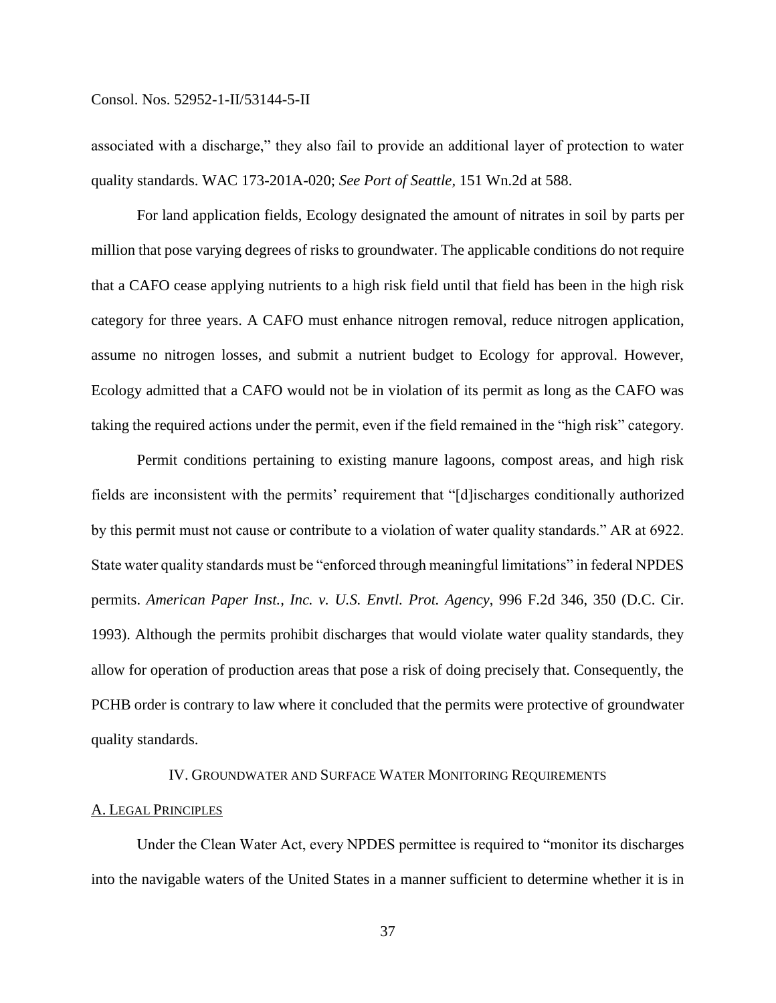associated with a discharge," they also fail to provide an additional layer of protection to water quality standards. WAC 173-201A-020; *See Port of Seattle,* 151 Wn.2d at 588.

For land application fields, Ecology designated the amount of nitrates in soil by parts per million that pose varying degrees of risks to groundwater. The applicable conditions do not require that a CAFO cease applying nutrients to a high risk field until that field has been in the high risk category for three years. A CAFO must enhance nitrogen removal, reduce nitrogen application, assume no nitrogen losses, and submit a nutrient budget to Ecology for approval. However, Ecology admitted that a CAFO would not be in violation of its permit as long as the CAFO was taking the required actions under the permit, even if the field remained in the "high risk" category.

Permit conditions pertaining to existing manure lagoons, compost areas, and high risk fields are inconsistent with the permits' requirement that "[d]ischarges conditionally authorized by this permit must not cause or contribute to a violation of water quality standards." AR at 6922. State water quality standards must be "enforced through meaningful limitations" in federal NPDES permits. *American Paper Inst., Inc. v. U.S. Envtl. Prot. Agency*, 996 F.2d 346, 350 (D.C. Cir. 1993). Although the permits prohibit discharges that would violate water quality standards, they allow for operation of production areas that pose a risk of doing precisely that. Consequently, the PCHB order is contrary to law where it concluded that the permits were protective of groundwater quality standards.

## IV. GROUNDWATER AND SURFACE WATER MONITORING REQUIREMENTS

## A. LEGAL PRINCIPLES

Under the Clean Water Act, every NPDES permittee is required to "monitor its discharges into the navigable waters of the United States in a manner sufficient to determine whether it is in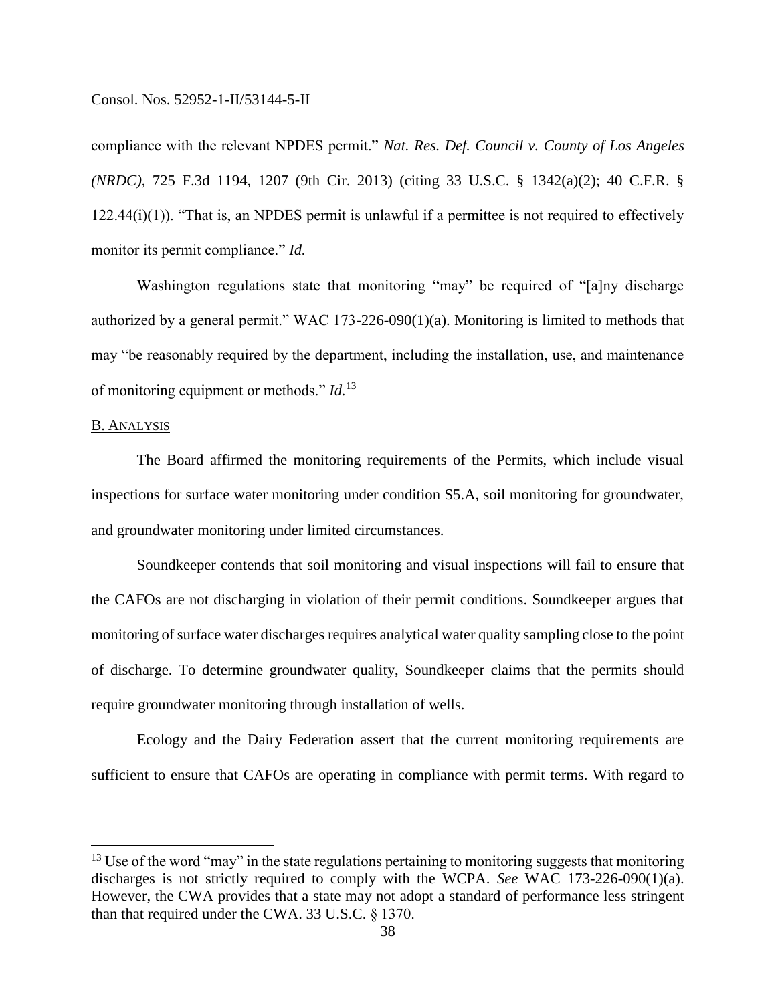compliance with the relevant NPDES permit." *Nat. Res. Def. Council v. County of Los Angeles (NRDC)*, 725 F.3d 1194, 1207 (9th Cir. 2013) (citing 33 U.S.C. § 1342(a)(2); 40 C.F.R. § 122.44(i)(1)). "That is, an NPDES permit is unlawful if a permittee is not required to effectively monitor its permit compliance." *Id.*

Washington regulations state that monitoring "may" be required of "[a]ny discharge authorized by a general permit." WAC 173-226-090(1)(a). Monitoring is limited to methods that may "be reasonably required by the department, including the installation, use, and maintenance of monitoring equipment or methods." *Id.*<sup>13</sup>

## B. ANALYSIS

 $\overline{a}$ 

The Board affirmed the monitoring requirements of the Permits, which include visual inspections for surface water monitoring under condition S5.A, soil monitoring for groundwater, and groundwater monitoring under limited circumstances.

Soundkeeper contends that soil monitoring and visual inspections will fail to ensure that the CAFOs are not discharging in violation of their permit conditions. Soundkeeper argues that monitoring of surface water discharges requires analytical water quality sampling close to the point of discharge. To determine groundwater quality, Soundkeeper claims that the permits should require groundwater monitoring through installation of wells.

Ecology and the Dairy Federation assert that the current monitoring requirements are sufficient to ensure that CAFOs are operating in compliance with permit terms. With regard to

 $13$  Use of the word "may" in the state regulations pertaining to monitoring suggests that monitoring discharges is not strictly required to comply with the WCPA. *See* WAC 173-226-090(1)(a). However, the CWA provides that a state may not adopt a standard of performance less stringent than that required under the CWA. 33 U.S.C. § 1370.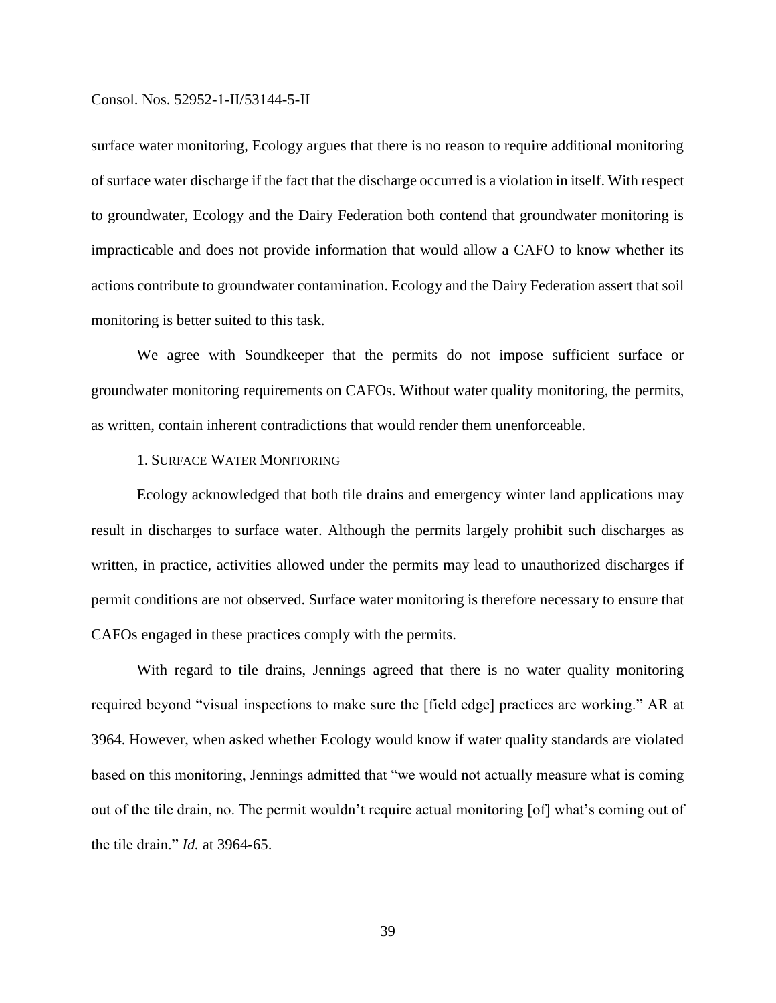surface water monitoring, Ecology argues that there is no reason to require additional monitoring of surface water discharge if the fact that the discharge occurred is a violation in itself. With respect to groundwater, Ecology and the Dairy Federation both contend that groundwater monitoring is impracticable and does not provide information that would allow a CAFO to know whether its actions contribute to groundwater contamination. Ecology and the Dairy Federation assert that soil monitoring is better suited to this task.

We agree with Soundkeeper that the permits do not impose sufficient surface or groundwater monitoring requirements on CAFOs. Without water quality monitoring, the permits, as written, contain inherent contradictions that would render them unenforceable.

## 1. SURFACE WATER MONITORING

Ecology acknowledged that both tile drains and emergency winter land applications may result in discharges to surface water. Although the permits largely prohibit such discharges as written, in practice, activities allowed under the permits may lead to unauthorized discharges if permit conditions are not observed. Surface water monitoring is therefore necessary to ensure that CAFOs engaged in these practices comply with the permits.

With regard to tile drains, Jennings agreed that there is no water quality monitoring required beyond "visual inspections to make sure the [field edge] practices are working." AR at 3964. However, when asked whether Ecology would know if water quality standards are violated based on this monitoring, Jennings admitted that "we would not actually measure what is coming out of the tile drain, no. The permit wouldn't require actual monitoring [of] what's coming out of the tile drain." *Id.* at 3964-65.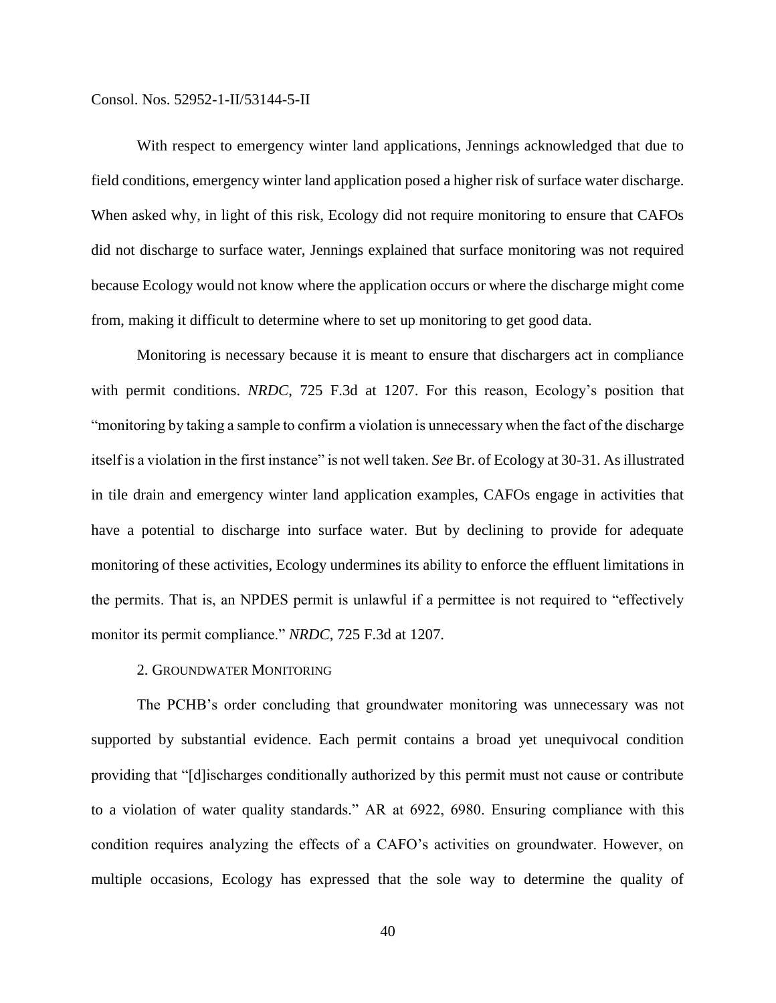With respect to emergency winter land applications, Jennings acknowledged that due to field conditions, emergency winter land application posed a higher risk of surface water discharge. When asked why, in light of this risk, Ecology did not require monitoring to ensure that CAFOs did not discharge to surface water, Jennings explained that surface monitoring was not required because Ecology would not know where the application occurs or where the discharge might come from, making it difficult to determine where to set up monitoring to get good data.

Monitoring is necessary because it is meant to ensure that dischargers act in compliance with permit conditions. *NRDC*, 725 F.3d at 1207. For this reason, Ecology's position that "monitoring by taking a sample to confirm a violation is unnecessary when the fact of the discharge itself is a violation in the first instance" is not well taken. *See* Br. of Ecology at 30-31. As illustrated in tile drain and emergency winter land application examples, CAFOs engage in activities that have a potential to discharge into surface water. But by declining to provide for adequate monitoring of these activities, Ecology undermines its ability to enforce the effluent limitations in the permits. That is, an NPDES permit is unlawful if a permittee is not required to "effectively monitor its permit compliance." *NRDC*, 725 F.3d at 1207.

## 2. GROUNDWATER MONITORING

The PCHB's order concluding that groundwater monitoring was unnecessary was not supported by substantial evidence. Each permit contains a broad yet unequivocal condition providing that "[d]ischarges conditionally authorized by this permit must not cause or contribute to a violation of water quality standards." AR at 6922, 6980. Ensuring compliance with this condition requires analyzing the effects of a CAFO's activities on groundwater. However, on multiple occasions, Ecology has expressed that the sole way to determine the quality of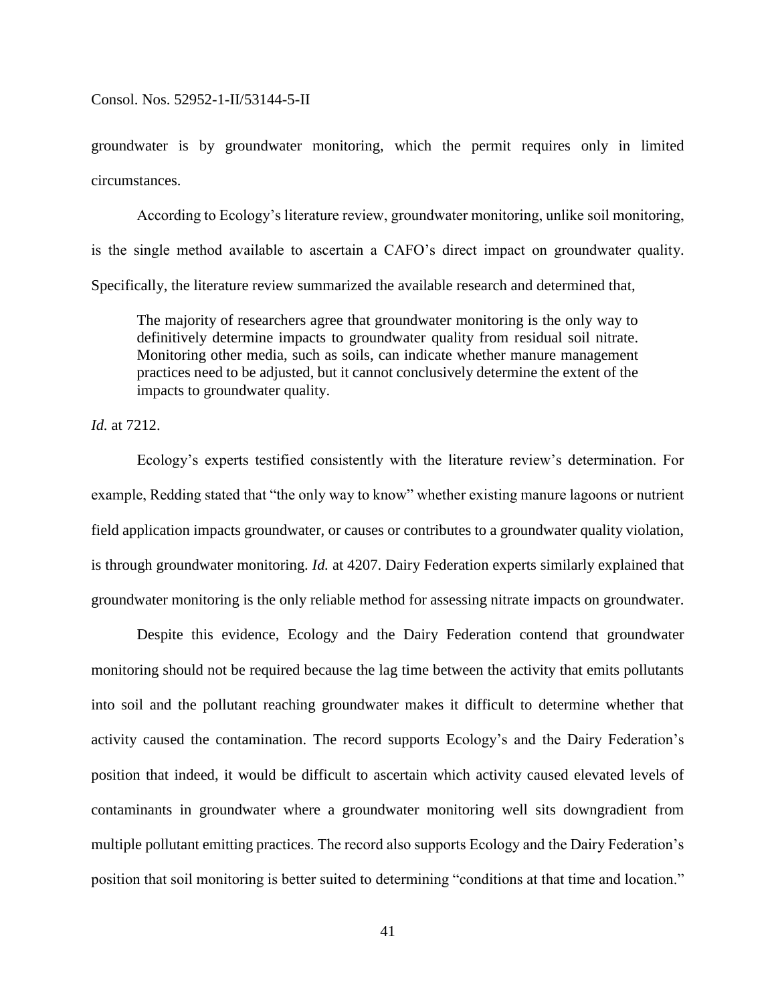groundwater is by groundwater monitoring, which the permit requires only in limited circumstances.

According to Ecology's literature review, groundwater monitoring, unlike soil monitoring, is the single method available to ascertain a CAFO's direct impact on groundwater quality. Specifically, the literature review summarized the available research and determined that,

The majority of researchers agree that groundwater monitoring is the only way to definitively determine impacts to groundwater quality from residual soil nitrate. Monitoring other media, such as soils, can indicate whether manure management practices need to be adjusted, but it cannot conclusively determine the extent of the impacts to groundwater quality.

*Id.* at 7212.

Ecology's experts testified consistently with the literature review's determination. For example, Redding stated that "the only way to know" whether existing manure lagoons or nutrient field application impacts groundwater, or causes or contributes to a groundwater quality violation, is through groundwater monitoring. *Id.* at 4207. Dairy Federation experts similarly explained that groundwater monitoring is the only reliable method for assessing nitrate impacts on groundwater.

Despite this evidence, Ecology and the Dairy Federation contend that groundwater monitoring should not be required because the lag time between the activity that emits pollutants into soil and the pollutant reaching groundwater makes it difficult to determine whether that activity caused the contamination. The record supports Ecology's and the Dairy Federation's position that indeed, it would be difficult to ascertain which activity caused elevated levels of contaminants in groundwater where a groundwater monitoring well sits downgradient from multiple pollutant emitting practices. The record also supports Ecology and the Dairy Federation's position that soil monitoring is better suited to determining "conditions at that time and location."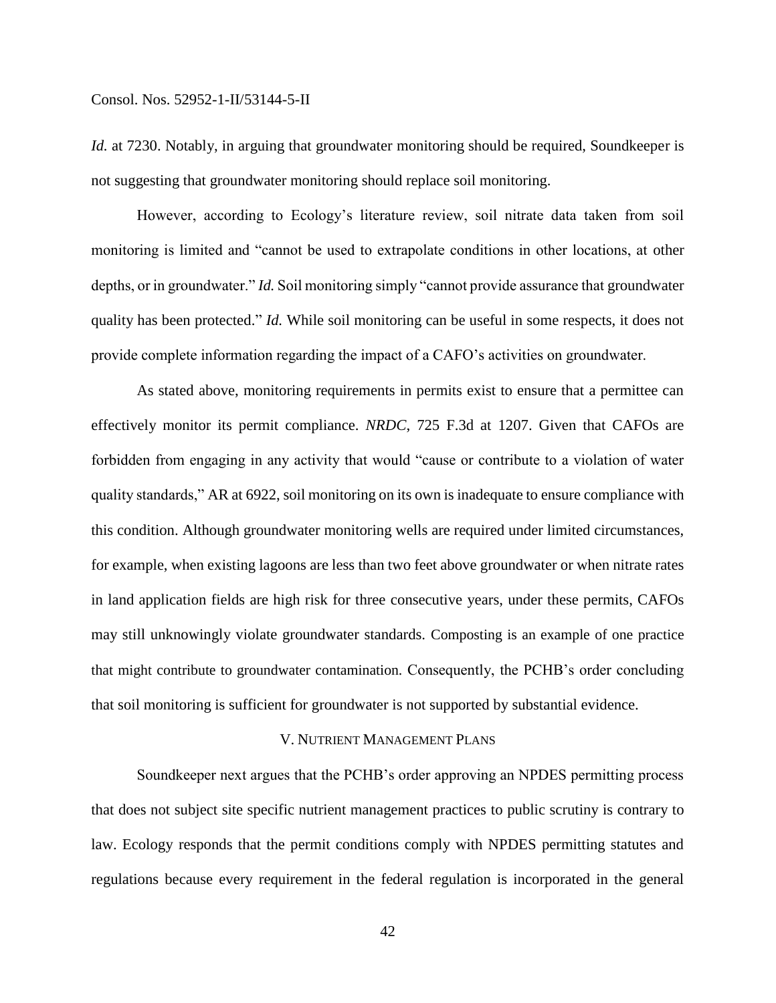*Id.* at 7230. Notably, in arguing that groundwater monitoring should be required, Soundkeeper is not suggesting that groundwater monitoring should replace soil monitoring.

However, according to Ecology's literature review, soil nitrate data taken from soil monitoring is limited and "cannot be used to extrapolate conditions in other locations, at other depths, or in groundwater." *Id.* Soil monitoring simply "cannot provide assurance that groundwater quality has been protected." *Id.* While soil monitoring can be useful in some respects, it does not provide complete information regarding the impact of a CAFO's activities on groundwater.

As stated above, monitoring requirements in permits exist to ensure that a permittee can effectively monitor its permit compliance. *NRDC*, 725 F.3d at 1207. Given that CAFOs are forbidden from engaging in any activity that would "cause or contribute to a violation of water quality standards," AR at 6922, soil monitoring on its own is inadequate to ensure compliance with this condition. Although groundwater monitoring wells are required under limited circumstances, for example, when existing lagoons are less than two feet above groundwater or when nitrate rates in land application fields are high risk for three consecutive years, under these permits, CAFOs may still unknowingly violate groundwater standards. Composting is an example of one practice that might contribute to groundwater contamination. Consequently, the PCHB's order concluding that soil monitoring is sufficient for groundwater is not supported by substantial evidence.

### V. NUTRIENT MANAGEMENT PLANS

Soundkeeper next argues that the PCHB's order approving an NPDES permitting process that does not subject site specific nutrient management practices to public scrutiny is contrary to law. Ecology responds that the permit conditions comply with NPDES permitting statutes and regulations because every requirement in the federal regulation is incorporated in the general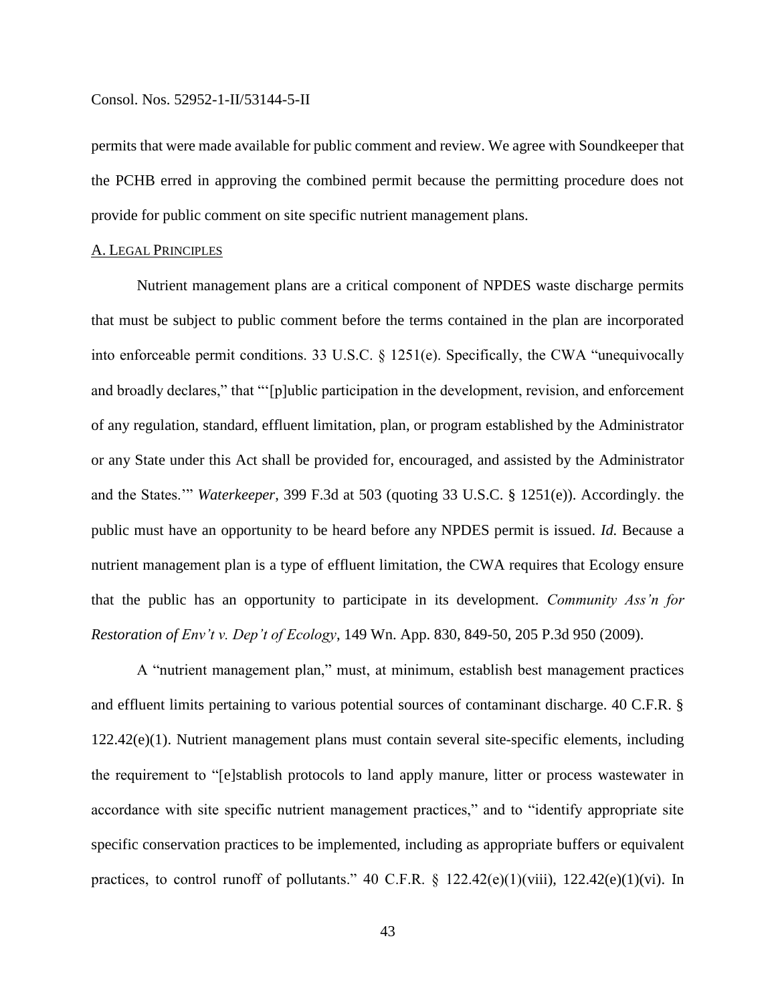permits that were made available for public comment and review. We agree with Soundkeeper that the PCHB erred in approving the combined permit because the permitting procedure does not provide for public comment on site specific nutrient management plans.

### A. LEGAL PRINCIPLES

Nutrient management plans are a critical component of NPDES waste discharge permits that must be subject to public comment before the terms contained in the plan are incorporated into enforceable permit conditions. 33 U.S.C. § 1251(e). Specifically, the CWA "unequivocally and broadly declares," that "'[p]ublic participation in the development, revision, and enforcement of any regulation, standard, effluent limitation, plan, or program established by the Administrator or any State under this Act shall be provided for, encouraged, and assisted by the Administrator and the States.'" *Waterkeeper*, 399 F.3d at 503 (quoting 33 U.S.C. § 1251(e)). Accordingly. the public must have an opportunity to be heard before any NPDES permit is issued. *Id.* Because a nutrient management plan is a type of effluent limitation, the CWA requires that Ecology ensure that the public has an opportunity to participate in its development. *Community Ass'n for Restoration of Env't v. Dep't of Ecology*, 149 Wn. App. 830, 849-50, 205 P.3d 950 (2009).

A "nutrient management plan," must, at minimum, establish best management practices and effluent limits pertaining to various potential sources of contaminant discharge. 40 C.F.R. § 122.42(e)(1). Nutrient management plans must contain several site-specific elements, including the requirement to "[e]stablish protocols to land apply manure, litter or process wastewater in accordance with site specific nutrient management practices," and to "identify appropriate site specific conservation practices to be implemented, including as appropriate buffers or equivalent practices, to control runoff of pollutants." 40 C.F.R.  $\S$  122.42(e)(1)(viii), 122.42(e)(1)(vi). In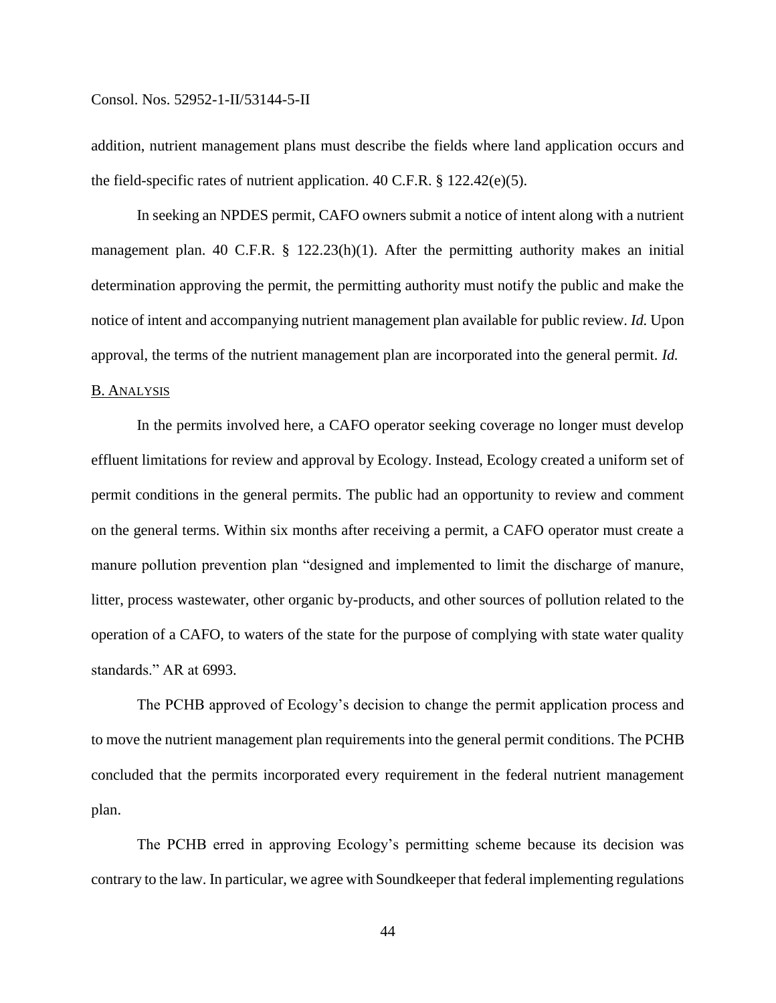addition, nutrient management plans must describe the fields where land application occurs and the field-specific rates of nutrient application. 40 C.F.R. § 122.42(e)(5).

In seeking an NPDES permit, CAFO owners submit a notice of intent along with a nutrient management plan. 40 C.F.R. § 122.23(h)(1). After the permitting authority makes an initial determination approving the permit, the permitting authority must notify the public and make the notice of intent and accompanying nutrient management plan available for public review. *Id.* Upon approval, the terms of the nutrient management plan are incorporated into the general permit. *Id.*

## B. ANALYSIS

In the permits involved here, a CAFO operator seeking coverage no longer must develop effluent limitations for review and approval by Ecology. Instead, Ecology created a uniform set of permit conditions in the general permits. The public had an opportunity to review and comment on the general terms. Within six months after receiving a permit, a CAFO operator must create a manure pollution prevention plan "designed and implemented to limit the discharge of manure, litter, process wastewater, other organic by-products, and other sources of pollution related to the operation of a CAFO, to waters of the state for the purpose of complying with state water quality standards." AR at 6993.

The PCHB approved of Ecology's decision to change the permit application process and to move the nutrient management plan requirements into the general permit conditions. The PCHB concluded that the permits incorporated every requirement in the federal nutrient management plan.

The PCHB erred in approving Ecology's permitting scheme because its decision was contrary to the law. In particular, we agree with Soundkeeper that federal implementing regulations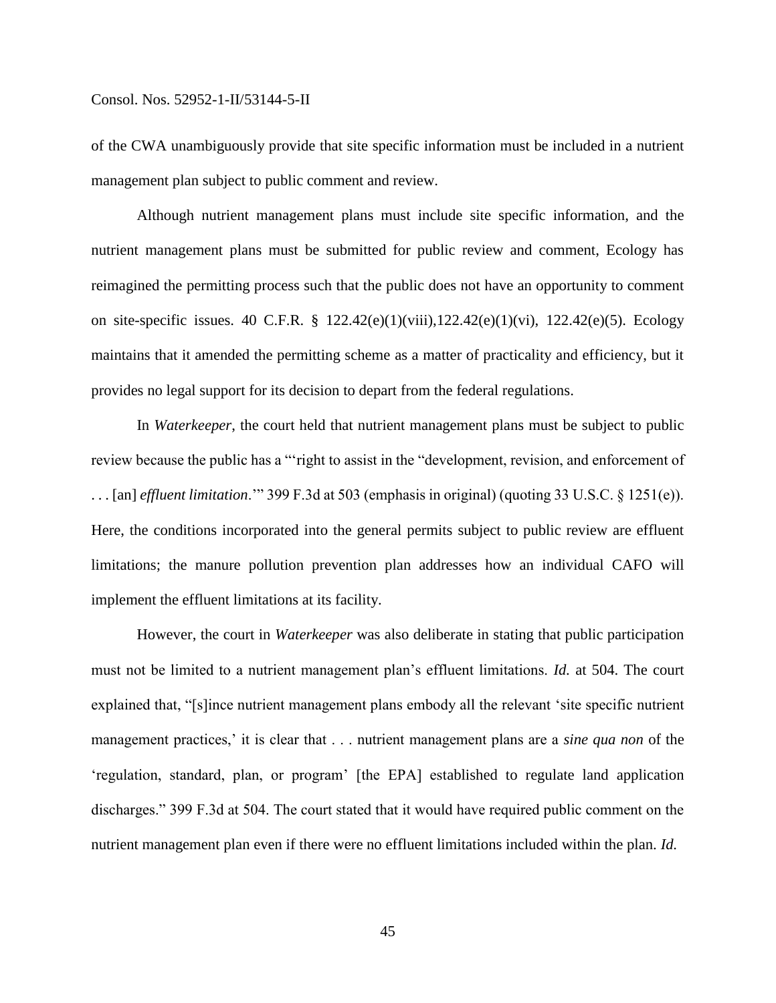of the CWA unambiguously provide that site specific information must be included in a nutrient management plan subject to public comment and review.

Although nutrient management plans must include site specific information, and the nutrient management plans must be submitted for public review and comment, Ecology has reimagined the permitting process such that the public does not have an opportunity to comment on site-specific issues. 40 C.F.R. § 122.42(e)(1)(viii),122.42(e)(1)(vi), 122.42(e)(5). Ecology maintains that it amended the permitting scheme as a matter of practicality and efficiency, but it provides no legal support for its decision to depart from the federal regulations.

In *Waterkeeper*, the court held that nutrient management plans must be subject to public review because the public has a "'right to assist in the "development, revision, and enforcement of . . . [an] *effluent limitation*.'" 399 F.3d at 503 (emphasis in original) (quoting 33 U.S.C. § 1251(e)). Here, the conditions incorporated into the general permits subject to public review are effluent limitations; the manure pollution prevention plan addresses how an individual CAFO will implement the effluent limitations at its facility.

However, the court in *Waterkeeper* was also deliberate in stating that public participation must not be limited to a nutrient management plan's effluent limitations. *Id.* at 504. The court explained that, "[s]ince nutrient management plans embody all the relevant 'site specific nutrient management practices,' it is clear that . . . nutrient management plans are a *sine qua non* of the 'regulation, standard, plan, or program' [the EPA] established to regulate land application discharges." 399 F.3d at 504. The court stated that it would have required public comment on the nutrient management plan even if there were no effluent limitations included within the plan. *Id.*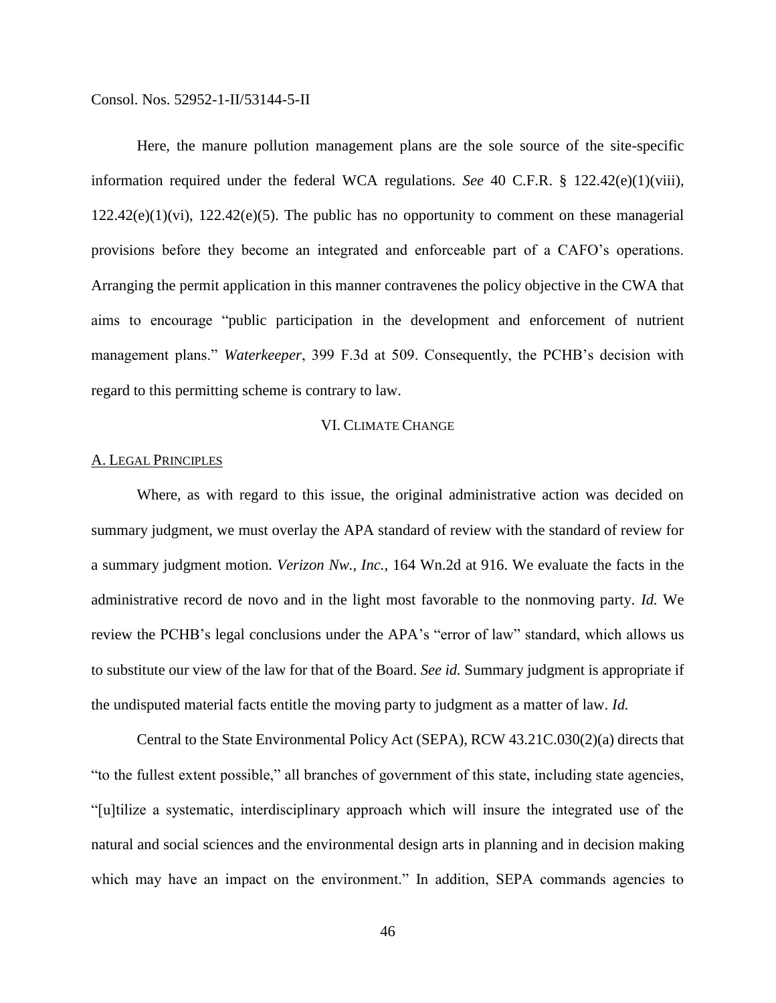Here, the manure pollution management plans are the sole source of the site-specific information required under the federal WCA regulations. *See* 40 C.F.R. § 122.42(e)(1)(viii),  $122.42(e)(1)(vi)$ ,  $122.42(e)(5)$ . The public has no opportunity to comment on these managerial provisions before they become an integrated and enforceable part of a CAFO's operations. Arranging the permit application in this manner contravenes the policy objective in the CWA that aims to encourage "public participation in the development and enforcement of nutrient management plans." *Waterkeeper*, 399 F.3d at 509. Consequently, the PCHB's decision with regard to this permitting scheme is contrary to law.

### VI. CLIMATE CHANGE

## A. LEGAL PRINCIPLES

Where, as with regard to this issue, the original administrative action was decided on summary judgment, we must overlay the APA standard of review with the standard of review for a summary judgment motion. *Verizon Nw., Inc.*, 164 Wn.2d at 916. We evaluate the facts in the administrative record de novo and in the light most favorable to the nonmoving party. *Id.* We review the PCHB's legal conclusions under the APA's "error of law" standard, which allows us to substitute our view of the law for that of the Board. *See id.* Summary judgment is appropriate if the undisputed material facts entitle the moving party to judgment as a matter of law. *Id.*

Central to the State Environmental Policy Act (SEPA), RCW 43.21C.030(2)(a) directs that "to the fullest extent possible," all branches of government of this state, including state agencies, "[u]tilize a systematic, interdisciplinary approach which will insure the integrated use of the natural and social sciences and the environmental design arts in planning and in decision making which may have an impact on the environment." In addition, SEPA commands agencies to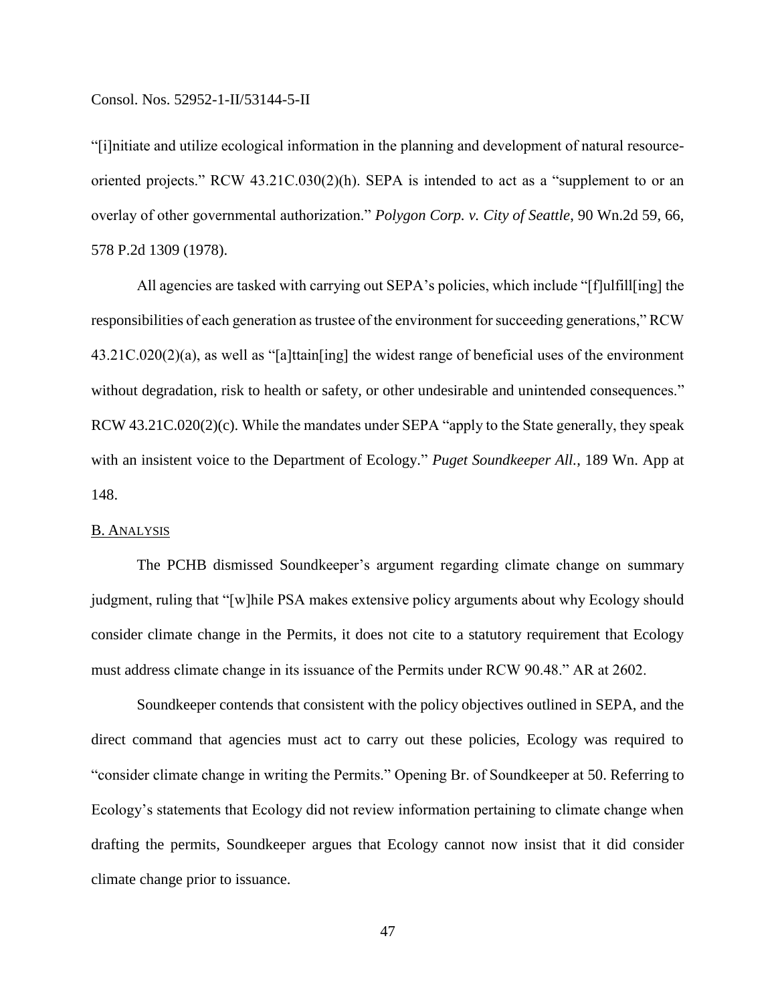"[i]nitiate and utilize ecological information in the planning and development of natural resourceoriented projects." RCW 43.21C.030(2)(h). SEPA is intended to act as a "supplement to or an overlay of other governmental authorization." *Polygon Corp. v. City of Seattle*, 90 Wn.2d 59, 66, 578 P.2d 1309 (1978).

All agencies are tasked with carrying out SEPA's policies, which include "[f]ulfill[ing] the responsibilities of each generation as trustee of the environment for succeeding generations," RCW 43.21C.020(2)(a), as well as "[a]ttain[ing] the widest range of beneficial uses of the environment without degradation, risk to health or safety, or other undesirable and unintended consequences." RCW 43.21C.020(2)(c). While the mandates under SEPA "apply to the State generally, they speak with an insistent voice to the Department of Ecology." *Puget Soundkeeper All.*, 189 Wn. App at 148.

## B. ANALYSIS

The PCHB dismissed Soundkeeper's argument regarding climate change on summary judgment, ruling that "[w]hile PSA makes extensive policy arguments about why Ecology should consider climate change in the Permits, it does not cite to a statutory requirement that Ecology must address climate change in its issuance of the Permits under RCW 90.48." AR at 2602.

Soundkeeper contends that consistent with the policy objectives outlined in SEPA, and the direct command that agencies must act to carry out these policies, Ecology was required to "consider climate change in writing the Permits." Opening Br. of Soundkeeper at 50. Referring to Ecology's statements that Ecology did not review information pertaining to climate change when drafting the permits, Soundkeeper argues that Ecology cannot now insist that it did consider climate change prior to issuance.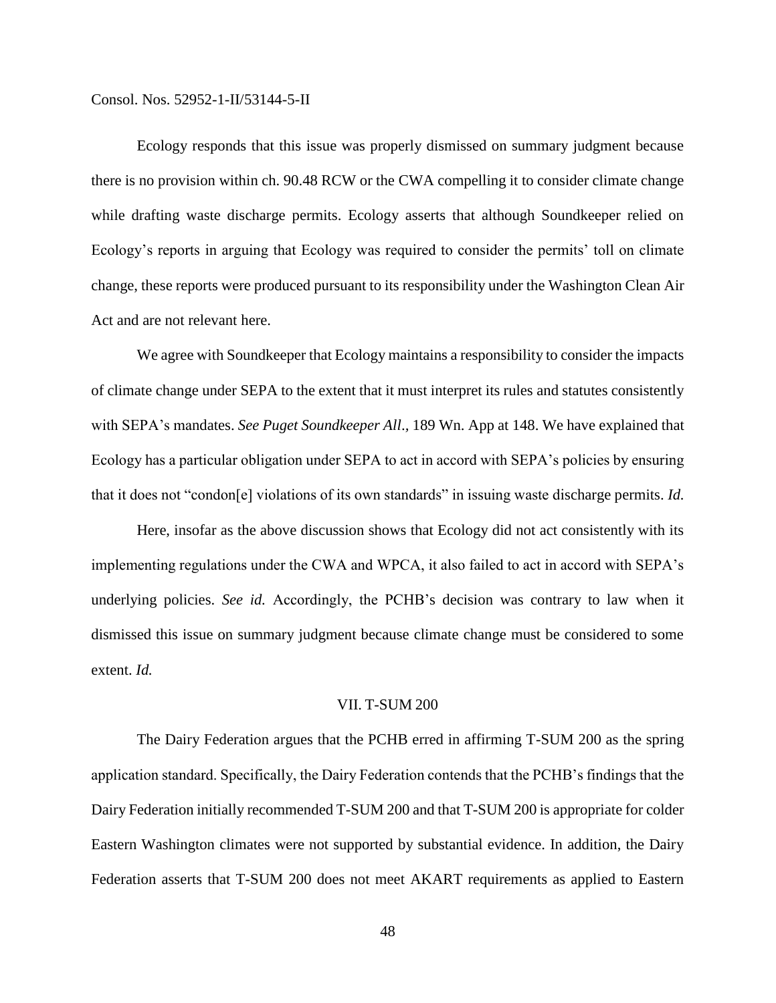Ecology responds that this issue was properly dismissed on summary judgment because there is no provision within ch. 90.48 RCW or the CWA compelling it to consider climate change while drafting waste discharge permits. Ecology asserts that although Soundkeeper relied on Ecology's reports in arguing that Ecology was required to consider the permits' toll on climate change, these reports were produced pursuant to its responsibility under the Washington Clean Air Act and are not relevant here.

We agree with Soundkeeper that Ecology maintains a responsibility to consider the impacts of climate change under SEPA to the extent that it must interpret its rules and statutes consistently with SEPA's mandates. *See Puget Soundkeeper All*.*,* 189 Wn. App at 148. We have explained that Ecology has a particular obligation under SEPA to act in accord with SEPA's policies by ensuring that it does not "condon[e] violations of its own standards" in issuing waste discharge permits. *Id.*

Here, insofar as the above discussion shows that Ecology did not act consistently with its implementing regulations under the CWA and WPCA, it also failed to act in accord with SEPA's underlying policies. *See id.* Accordingly, the PCHB's decision was contrary to law when it dismissed this issue on summary judgment because climate change must be considered to some extent. *Id.*

## VII. T-SUM 200

The Dairy Federation argues that the PCHB erred in affirming T-SUM 200 as the spring application standard. Specifically, the Dairy Federation contends that the PCHB's findings that the Dairy Federation initially recommended T-SUM 200 and that T-SUM 200 is appropriate for colder Eastern Washington climates were not supported by substantial evidence. In addition, the Dairy Federation asserts that T-SUM 200 does not meet AKART requirements as applied to Eastern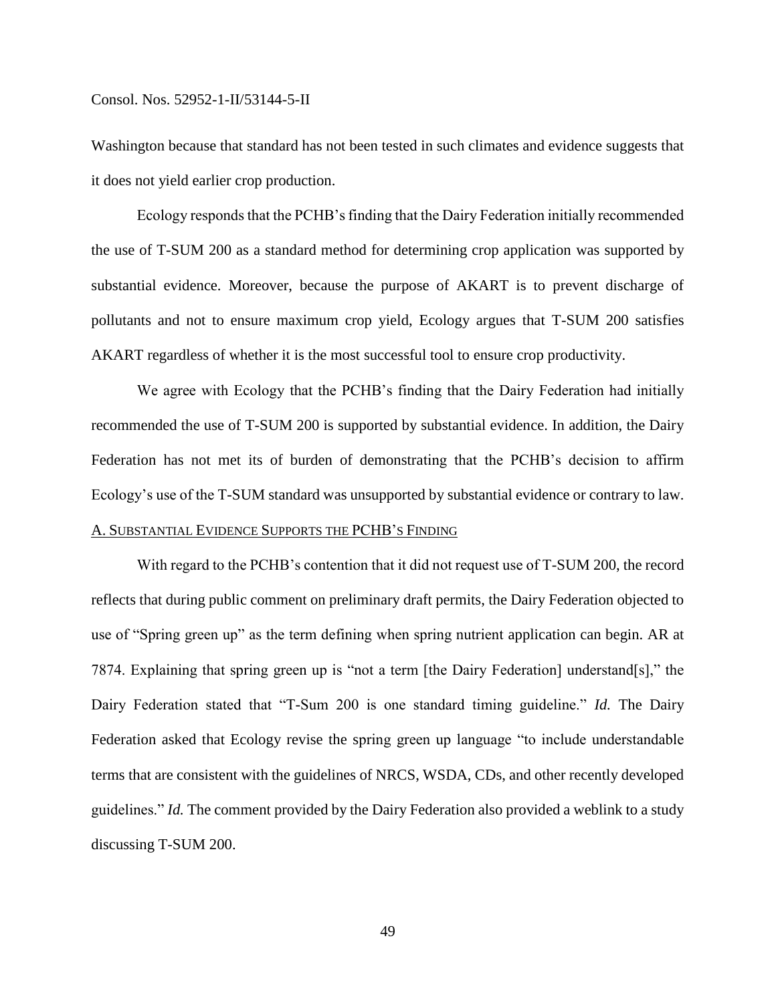Washington because that standard has not been tested in such climates and evidence suggests that it does not yield earlier crop production.

Ecology responds that the PCHB's finding that the Dairy Federation initially recommended the use of T-SUM 200 as a standard method for determining crop application was supported by substantial evidence. Moreover, because the purpose of AKART is to prevent discharge of pollutants and not to ensure maximum crop yield, Ecology argues that T-SUM 200 satisfies AKART regardless of whether it is the most successful tool to ensure crop productivity.

We agree with Ecology that the PCHB's finding that the Dairy Federation had initially recommended the use of T-SUM 200 is supported by substantial evidence. In addition, the Dairy Federation has not met its of burden of demonstrating that the PCHB's decision to affirm Ecology's use of the T-SUM standard was unsupported by substantial evidence or contrary to law.

## A. SUBSTANTIAL EVIDENCE SUPPORTS THE PCHB'S FINDING

With regard to the PCHB's contention that it did not request use of T-SUM 200, the record reflects that during public comment on preliminary draft permits, the Dairy Federation objected to use of "Spring green up" as the term defining when spring nutrient application can begin. AR at 7874. Explaining that spring green up is "not a term [the Dairy Federation] understand[s]," the Dairy Federation stated that "T-Sum 200 is one standard timing guideline." *Id.* The Dairy Federation asked that Ecology revise the spring green up language "to include understandable terms that are consistent with the guidelines of NRCS, WSDA, CDs, and other recently developed guidelines." *Id.* The comment provided by the Dairy Federation also provided a weblink to a study discussing T-SUM 200.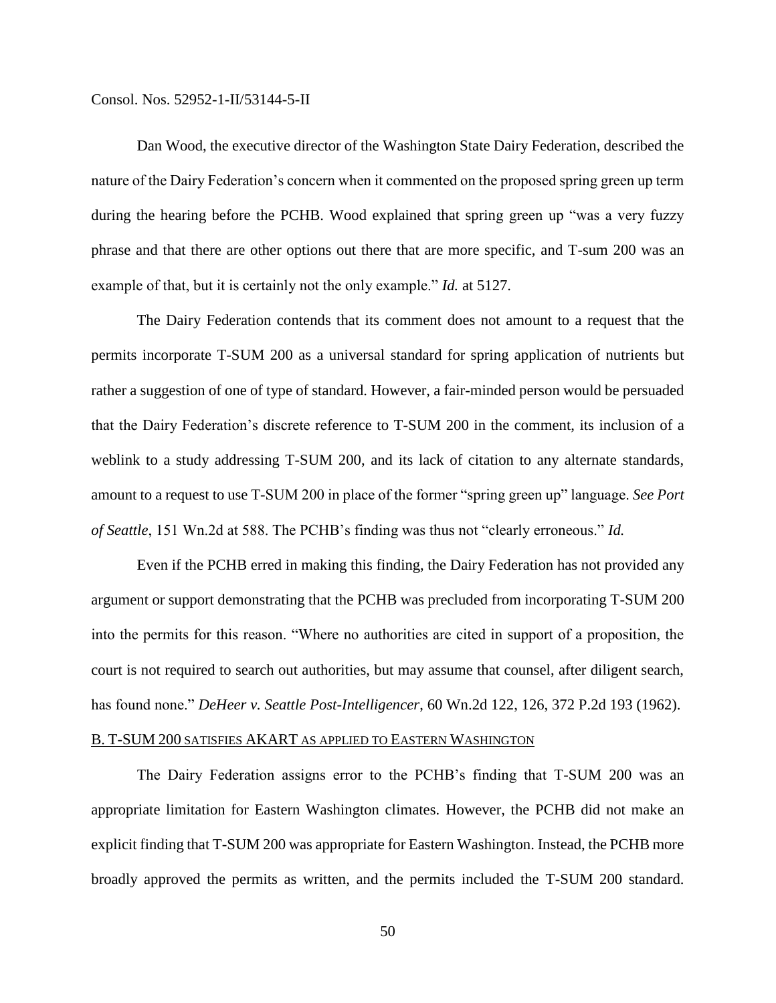Dan Wood, the executive director of the Washington State Dairy Federation, described the nature of the Dairy Federation's concern when it commented on the proposed spring green up term during the hearing before the PCHB. Wood explained that spring green up "was a very fuzzy phrase and that there are other options out there that are more specific, and T-sum 200 was an example of that, but it is certainly not the only example." *Id.* at 5127.

The Dairy Federation contends that its comment does not amount to a request that the permits incorporate T-SUM 200 as a universal standard for spring application of nutrients but rather a suggestion of one of type of standard. However, a fair-minded person would be persuaded that the Dairy Federation's discrete reference to T-SUM 200 in the comment, its inclusion of a weblink to a study addressing T-SUM 200, and its lack of citation to any alternate standards, amount to a request to use T-SUM 200 in place of the former "spring green up" language. *See Port of Seattle*, 151 Wn.2d at 588. The PCHB's finding was thus not "clearly erroneous." *Id.*

Even if the PCHB erred in making this finding, the Dairy Federation has not provided any argument or support demonstrating that the PCHB was precluded from incorporating T-SUM 200 into the permits for this reason. "Where no authorities are cited in support of a proposition, the court is not required to search out authorities, but may assume that counsel, after diligent search, has found none." *DeHeer v. Seattle Post-Intelligencer*, 60 Wn.2d 122, 126, 372 P.2d 193 (1962).

## B. T-SUM 200 SATISFIES AKART AS APPLIED TO EASTERN WASHINGTON

The Dairy Federation assigns error to the PCHB's finding that T-SUM 200 was an appropriate limitation for Eastern Washington climates. However, the PCHB did not make an explicit finding that T-SUM 200 was appropriate for Eastern Washington. Instead, the PCHB more broadly approved the permits as written, and the permits included the T-SUM 200 standard.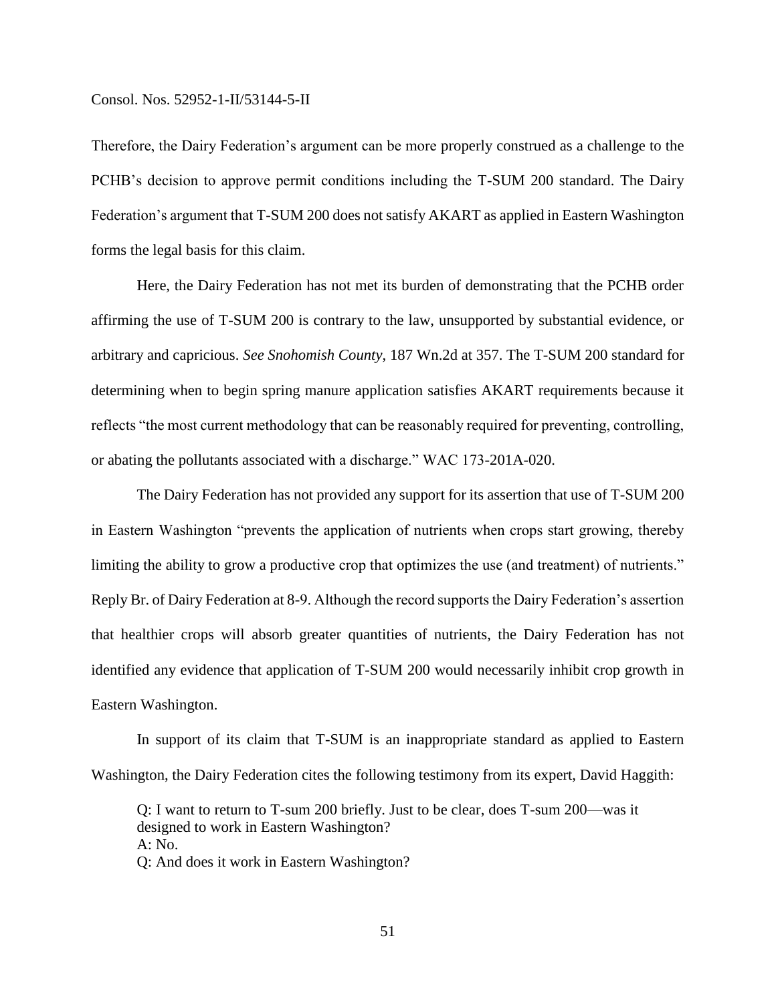Therefore, the Dairy Federation's argument can be more properly construed as a challenge to the PCHB's decision to approve permit conditions including the T-SUM 200 standard. The Dairy Federation's argument that T-SUM 200 does not satisfy AKART as applied in Eastern Washington forms the legal basis for this claim.

Here, the Dairy Federation has not met its burden of demonstrating that the PCHB order affirming the use of T-SUM 200 is contrary to the law, unsupported by substantial evidence, or arbitrary and capricious. *See Snohomish County*, 187 Wn.2d at 357. The T-SUM 200 standard for determining when to begin spring manure application satisfies AKART requirements because it reflects "the most current methodology that can be reasonably required for preventing, controlling, or abating the pollutants associated with a discharge." WAC 173-201A-020.

The Dairy Federation has not provided any support for its assertion that use of T-SUM 200 in Eastern Washington "prevents the application of nutrients when crops start growing, thereby limiting the ability to grow a productive crop that optimizes the use (and treatment) of nutrients." Reply Br. of Dairy Federation at 8-9. Although the record supports the Dairy Federation's assertion that healthier crops will absorb greater quantities of nutrients, the Dairy Federation has not identified any evidence that application of T-SUM 200 would necessarily inhibit crop growth in Eastern Washington.

In support of its claim that T-SUM is an inappropriate standard as applied to Eastern Washington, the Dairy Federation cites the following testimony from its expert, David Haggith:

Q: I want to return to T-sum 200 briefly. Just to be clear, does T-sum 200—was it designed to work in Eastern Washington? A: No. Q: And does it work in Eastern Washington?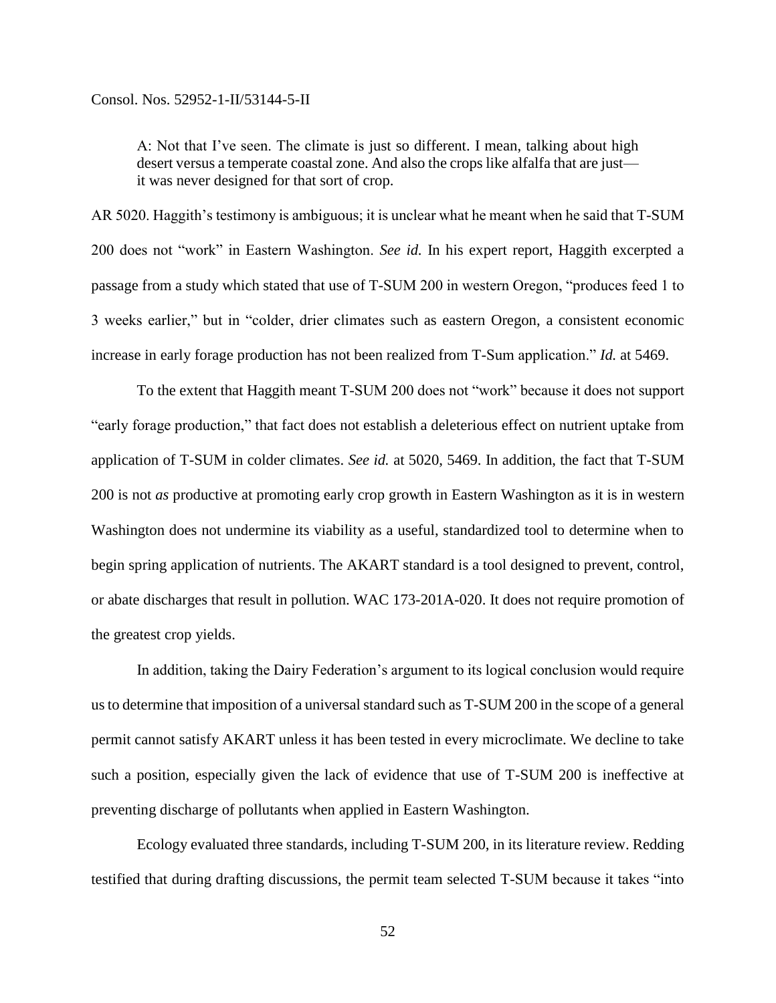A: Not that I've seen. The climate is just so different. I mean, talking about high desert versus a temperate coastal zone. And also the crops like alfalfa that are just it was never designed for that sort of crop.

AR 5020. Haggith's testimony is ambiguous; it is unclear what he meant when he said that T-SUM 200 does not "work" in Eastern Washington. *See id.* In his expert report, Haggith excerpted a passage from a study which stated that use of T-SUM 200 in western Oregon, "produces feed 1 to 3 weeks earlier," but in "colder, drier climates such as eastern Oregon, a consistent economic increase in early forage production has not been realized from T-Sum application." *Id.* at 5469.

To the extent that Haggith meant T-SUM 200 does not "work" because it does not support "early forage production," that fact does not establish a deleterious effect on nutrient uptake from application of T-SUM in colder climates. *See id.* at 5020, 5469. In addition, the fact that T-SUM 200 is not *as* productive at promoting early crop growth in Eastern Washington as it is in western Washington does not undermine its viability as a useful, standardized tool to determine when to begin spring application of nutrients. The AKART standard is a tool designed to prevent, control, or abate discharges that result in pollution. WAC 173-201A-020. It does not require promotion of the greatest crop yields.

In addition, taking the Dairy Federation's argument to its logical conclusion would require us to determine that imposition of a universal standard such as T-SUM 200 in the scope of a general permit cannot satisfy AKART unless it has been tested in every microclimate. We decline to take such a position, especially given the lack of evidence that use of T-SUM 200 is ineffective at preventing discharge of pollutants when applied in Eastern Washington.

Ecology evaluated three standards, including T-SUM 200, in its literature review. Redding testified that during drafting discussions, the permit team selected T-SUM because it takes "into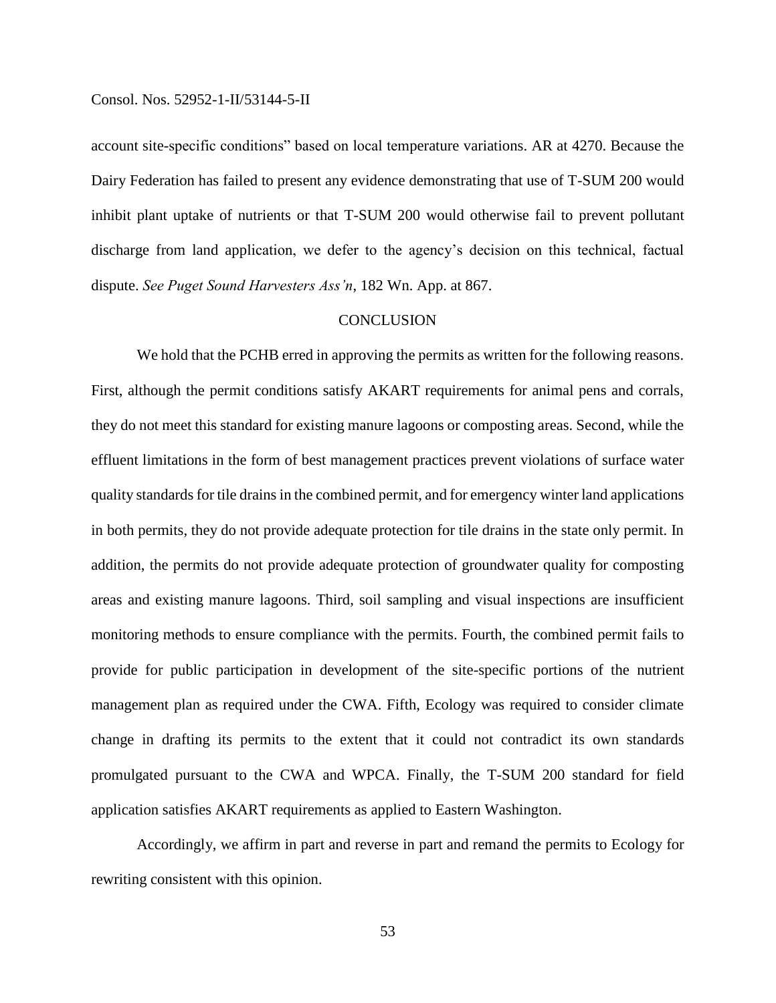account site-specific conditions" based on local temperature variations. AR at 4270. Because the Dairy Federation has failed to present any evidence demonstrating that use of T-SUM 200 would inhibit plant uptake of nutrients or that T-SUM 200 would otherwise fail to prevent pollutant discharge from land application, we defer to the agency's decision on this technical, factual dispute. *See Puget Sound Harvesters Ass'n*, 182 Wn. App. at 867.

## **CONCLUSION**

We hold that the PCHB erred in approving the permits as written for the following reasons. First, although the permit conditions satisfy AKART requirements for animal pens and corrals, they do not meet this standard for existing manure lagoons or composting areas. Second, while the effluent limitations in the form of best management practices prevent violations of surface water quality standards for tile drains in the combined permit, and for emergency winter land applications in both permits, they do not provide adequate protection for tile drains in the state only permit. In addition, the permits do not provide adequate protection of groundwater quality for composting areas and existing manure lagoons. Third, soil sampling and visual inspections are insufficient monitoring methods to ensure compliance with the permits. Fourth, the combined permit fails to provide for public participation in development of the site-specific portions of the nutrient management plan as required under the CWA. Fifth, Ecology was required to consider climate change in drafting its permits to the extent that it could not contradict its own standards promulgated pursuant to the CWA and WPCA. Finally, the T-SUM 200 standard for field application satisfies AKART requirements as applied to Eastern Washington.

Accordingly, we affirm in part and reverse in part and remand the permits to Ecology for rewriting consistent with this opinion.